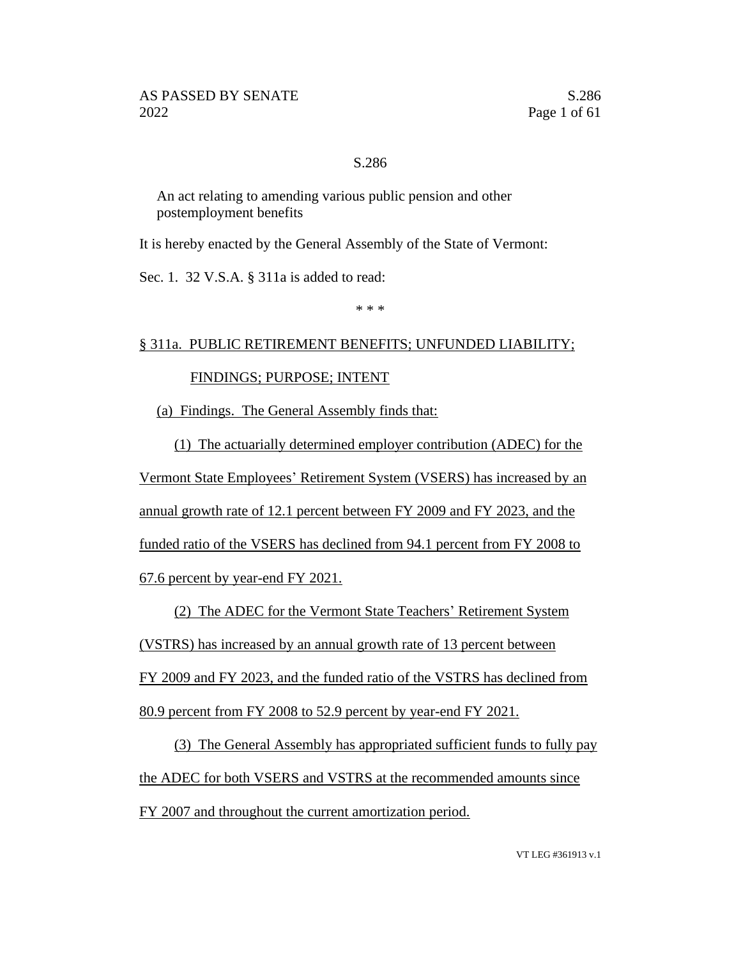### S.286

An act relating to amending various public pension and other postemployment benefits

It is hereby enacted by the General Assembly of the State of Vermont:

Sec. 1. 32 V.S.A. § 311a is added to read:

\* \* \*

#### § 311a. PUBLIC RETIREMENT BENEFITS; UNFUNDED LIABILITY;

### FINDINGS; PURPOSE; INTENT

(a) Findings. The General Assembly finds that:

(1) The actuarially determined employer contribution (ADEC) for the Vermont State Employees' Retirement System (VSERS) has increased by an annual growth rate of 12.1 percent between FY 2009 and FY 2023, and the funded ratio of the VSERS has declined from 94.1 percent from FY 2008 to 67.6 percent by year-end FY 2021.

(2) The ADEC for the Vermont State Teachers' Retirement System (VSTRS) has increased by an annual growth rate of 13 percent between FY 2009 and FY 2023, and the funded ratio of the VSTRS has declined from 80.9 percent from FY 2008 to 52.9 percent by year-end FY 2021.

(3) The General Assembly has appropriated sufficient funds to fully pay the ADEC for both VSERS and VSTRS at the recommended amounts since FY 2007 and throughout the current amortization period.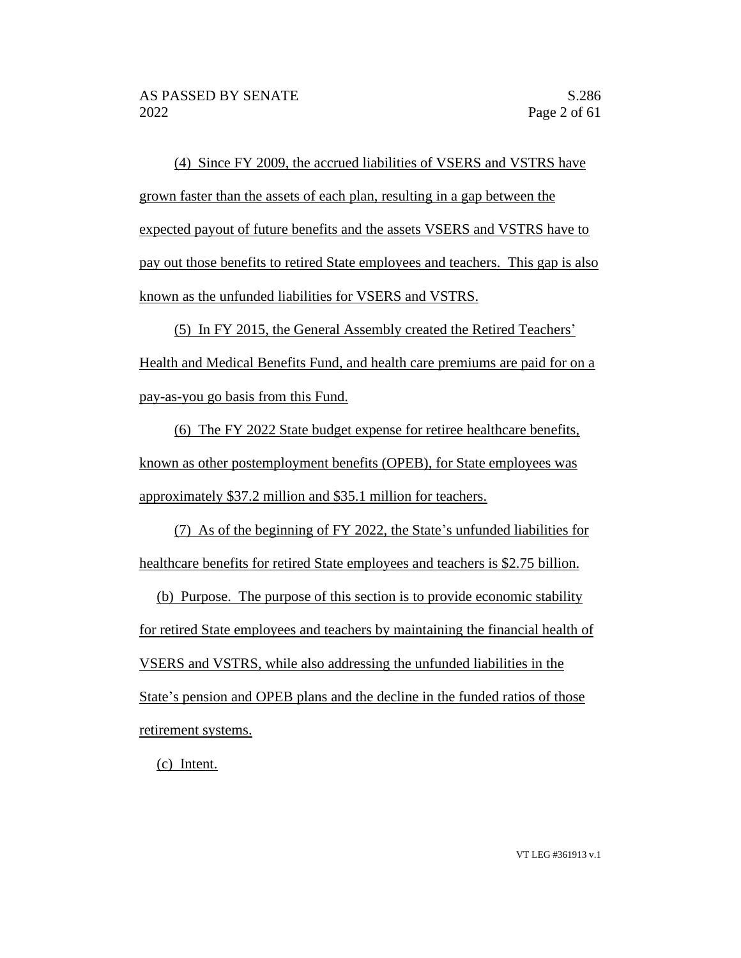(4) Since FY 2009, the accrued liabilities of VSERS and VSTRS have grown faster than the assets of each plan, resulting in a gap between the expected payout of future benefits and the assets VSERS and VSTRS have to pay out those benefits to retired State employees and teachers. This gap is also known as the unfunded liabilities for VSERS and VSTRS.

(5) In FY 2015, the General Assembly created the Retired Teachers' Health and Medical Benefits Fund, and health care premiums are paid for on a pay-as-you go basis from this Fund.

(6) The FY 2022 State budget expense for retiree healthcare benefits, known as other postemployment benefits (OPEB), for State employees was approximately \$37.2 million and \$35.1 million for teachers.

(7) As of the beginning of FY 2022, the State's unfunded liabilities for healthcare benefits for retired State employees and teachers is \$2.75 billion.

(b) Purpose. The purpose of this section is to provide economic stability for retired State employees and teachers by maintaining the financial health of VSERS and VSTRS, while also addressing the unfunded liabilities in the State's pension and OPEB plans and the decline in the funded ratios of those retirement systems.

(c) Intent.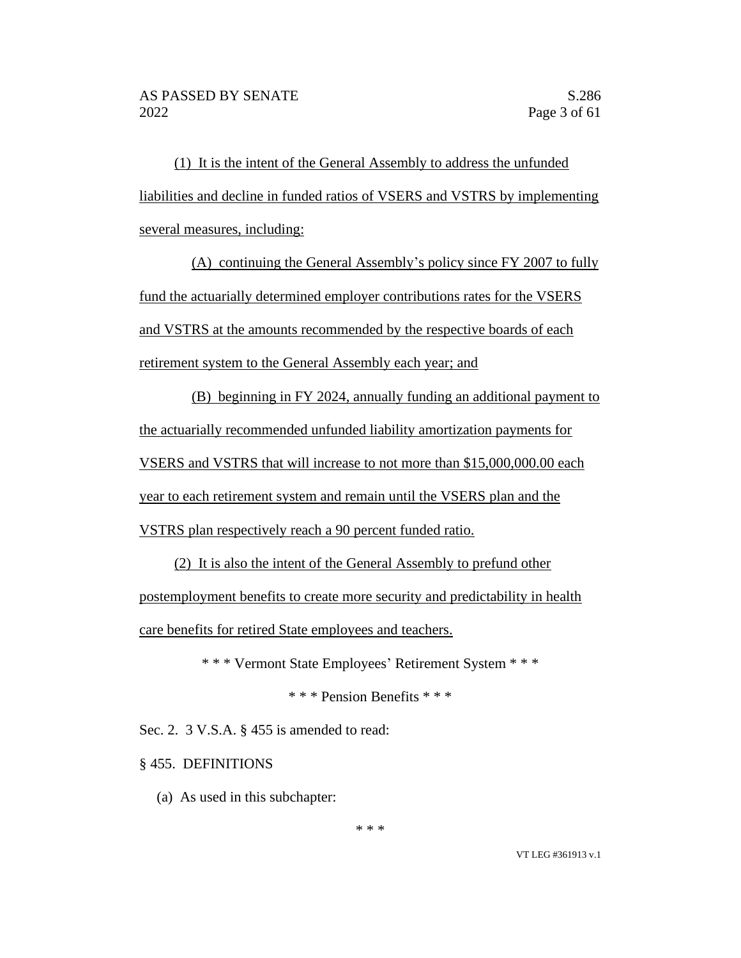(1) It is the intent of the General Assembly to address the unfunded liabilities and decline in funded ratios of VSERS and VSTRS by implementing several measures, including:

(A) continuing the General Assembly's policy since FY 2007 to fully fund the actuarially determined employer contributions rates for the VSERS and VSTRS at the amounts recommended by the respective boards of each retirement system to the General Assembly each year; and

(B) beginning in FY 2024, annually funding an additional payment to the actuarially recommended unfunded liability amortization payments for VSERS and VSTRS that will increase to not more than \$15,000,000.00 each year to each retirement system and remain until the VSERS plan and the VSTRS plan respectively reach a 90 percent funded ratio.

(2) It is also the intent of the General Assembly to prefund other postemployment benefits to create more security and predictability in health care benefits for retired State employees and teachers.

\* \* \* Vermont State Employees' Retirement System \* \* \*

\* \* \* Pension Benefits \* \* \*

Sec. 2. 3 V.S.A. § 455 is amended to read:

§ 455. DEFINITIONS

(a) As used in this subchapter:

\* \* \*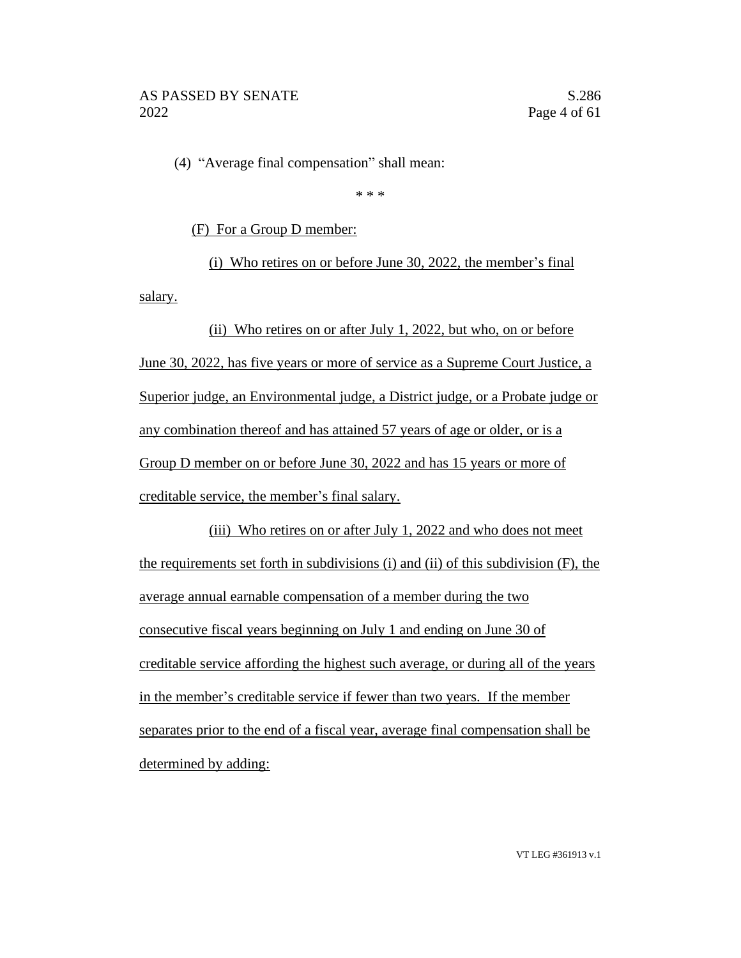(4) "Average final compensation" shall mean:

\* \* \*

(F) For a Group D member:

(i) Who retires on or before June 30, 2022, the member's final

salary.

# (ii) Who retires on or after July 1, 2022, but who, on or before June 30, 2022, has five years or more of service as a Supreme Court Justice, a Superior judge, an Environmental judge, a District judge, or a Probate judge or any combination thereof and has attained 57 years of age or older, or is a Group D member on or before June 30, 2022 and has 15 years or more of creditable service, the member's final salary.

(iii) Who retires on or after July 1, 2022 and who does not meet the requirements set forth in subdivisions (i) and (ii) of this subdivision (F), the average annual earnable compensation of a member during the two consecutive fiscal years beginning on July 1 and ending on June 30 of creditable service affording the highest such average, or during all of the years in the member's creditable service if fewer than two years. If the member separates prior to the end of a fiscal year, average final compensation shall be determined by adding: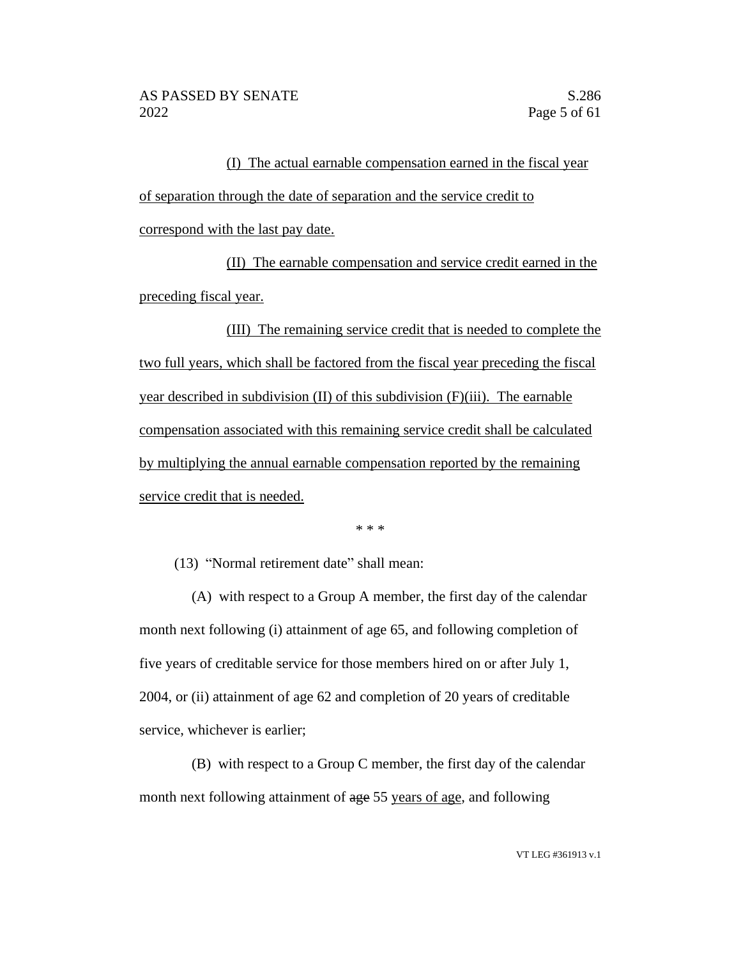(I) The actual earnable compensation earned in the fiscal year of separation through the date of separation and the service credit to correspond with the last pay date.

(II) The earnable compensation and service credit earned in the preceding fiscal year.

(III) The remaining service credit that is needed to complete the two full years, which shall be factored from the fiscal year preceding the fiscal year described in subdivision (II) of this subdivision (F)(iii). The earnable compensation associated with this remaining service credit shall be calculated by multiplying the annual earnable compensation reported by the remaining service credit that is needed.

\* \* \*

(13) "Normal retirement date" shall mean:

(A) with respect to a Group A member, the first day of the calendar month next following (i) attainment of age 65, and following completion of five years of creditable service for those members hired on or after July 1, 2004, or (ii) attainment of age 62 and completion of 20 years of creditable service, whichever is earlier;

(B) with respect to a Group C member, the first day of the calendar month next following attainment of age 55 years of age, and following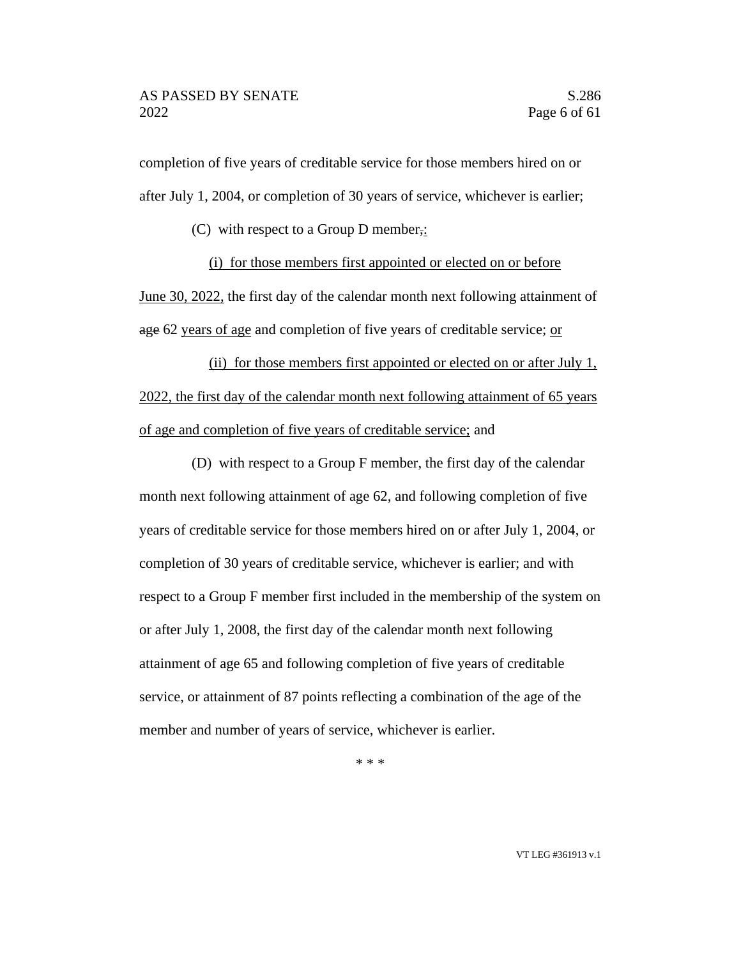completion of five years of creditable service for those members hired on or after July 1, 2004, or completion of 30 years of service, whichever is earlier;

(C) with respect to a Group D member,:

(i) for those members first appointed or elected on or before

June 30, 2022, the first day of the calendar month next following attainment of age 62 years of age and completion of five years of creditable service; or

(ii) for those members first appointed or elected on or after July 1, 2022, the first day of the calendar month next following attainment of 65 years of age and completion of five years of creditable service; and

(D) with respect to a Group F member, the first day of the calendar month next following attainment of age 62, and following completion of five years of creditable service for those members hired on or after July 1, 2004, or completion of 30 years of creditable service, whichever is earlier; and with respect to a Group F member first included in the membership of the system on or after July 1, 2008, the first day of the calendar month next following attainment of age 65 and following completion of five years of creditable service, or attainment of 87 points reflecting a combination of the age of the member and number of years of service, whichever is earlier.

\* \* \*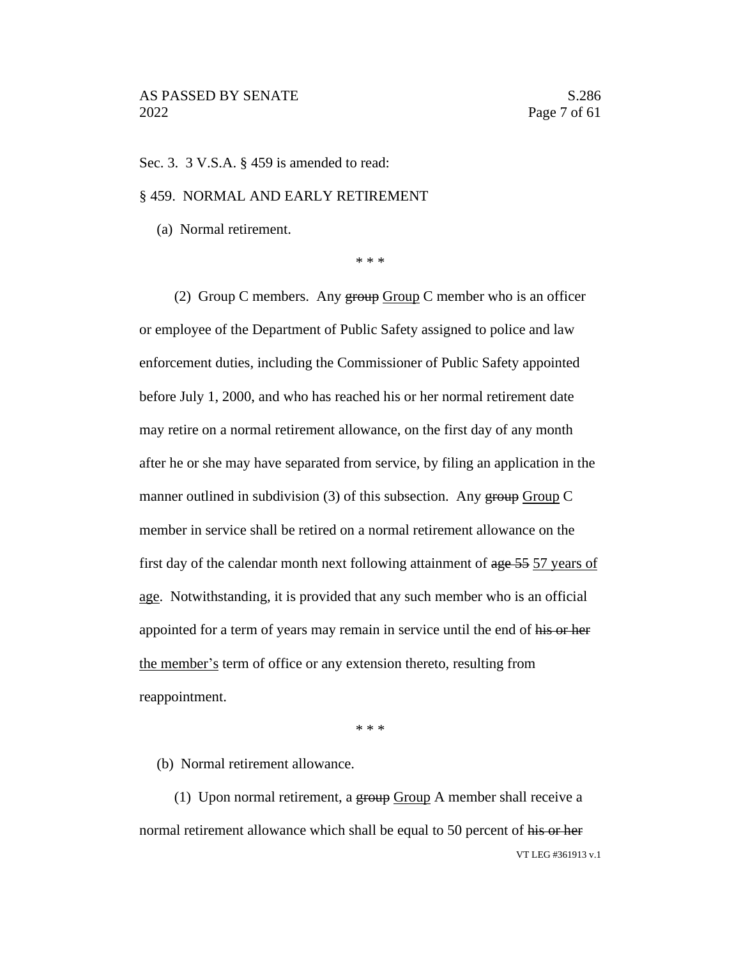Sec. 3. 3 V.S.A. § 459 is amended to read:

#### § 459. NORMAL AND EARLY RETIREMENT

(a) Normal retirement.

\* \* \*

(2) Group C members. Any  $\frac{1}{2}$  Group C member who is an officer or employee of the Department of Public Safety assigned to police and law enforcement duties, including the Commissioner of Public Safety appointed before July 1, 2000, and who has reached his or her normal retirement date may retire on a normal retirement allowance, on the first day of any month after he or she may have separated from service, by filing an application in the manner outlined in subdivision (3) of this subsection. Any group Group C member in service shall be retired on a normal retirement allowance on the first day of the calendar month next following attainment of age 55 57 years of age. Notwithstanding, it is provided that any such member who is an official appointed for a term of years may remain in service until the end of his or her the member's term of office or any extension thereto, resulting from reappointment.

\* \* \*

(b) Normal retirement allowance.

VT LEG #361913 v.1 (1) Upon normal retirement, a  $\frac{1}{2}$   $\frac{1}{2}$   $\frac{1}{2}$   $\frac{1}{2}$   $\frac{1}{2}$   $\frac{1}{2}$   $\frac{1}{2}$   $\frac{1}{2}$   $\frac{1}{2}$   $\frac{1}{2}$   $\frac{1}{2}$   $\frac{1}{2}$   $\frac{1}{2}$   $\frac{1}{2}$   $\frac{1}{2}$   $\frac{1}{2}$   $\frac{1}{2}$   $\frac{1}{2}$   $\frac{1}{2}$  normal retirement allowance which shall be equal to 50 percent of his or her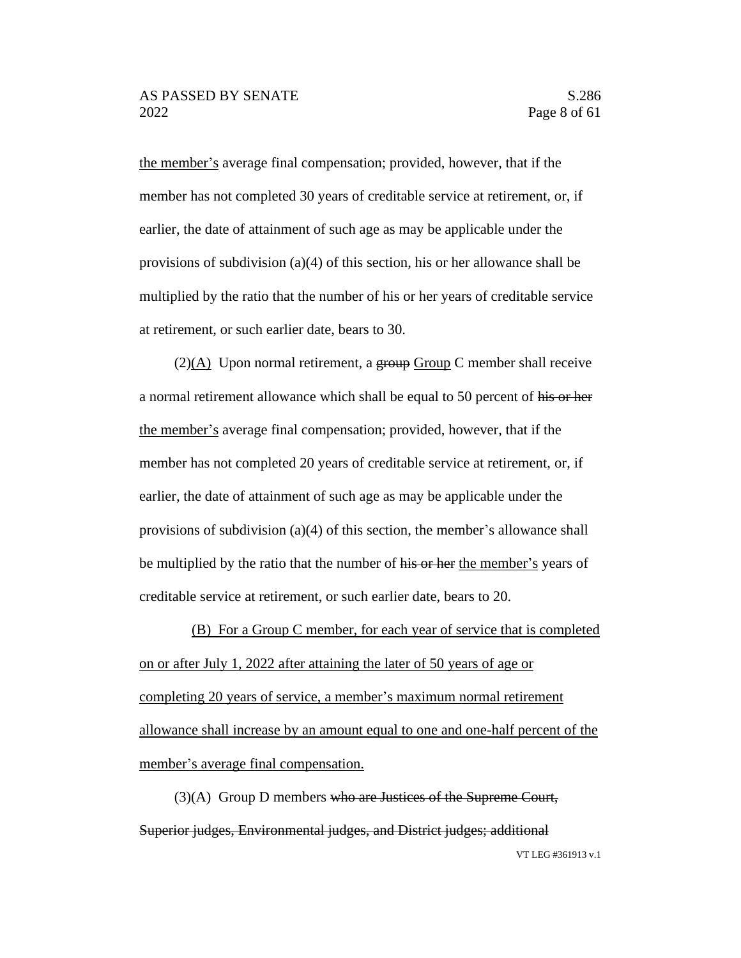the member's average final compensation; provided, however, that if the member has not completed 30 years of creditable service at retirement, or, if earlier, the date of attainment of such age as may be applicable under the provisions of subdivision (a)(4) of this section, his or her allowance shall be multiplied by the ratio that the number of his or her years of creditable service at retirement, or such earlier date, bears to 30.

 $(2)(A)$  Upon normal retirement, a group Group C member shall receive a normal retirement allowance which shall be equal to 50 percent of his or her the member's average final compensation; provided, however, that if the member has not completed 20 years of creditable service at retirement, or, if earlier, the date of attainment of such age as may be applicable under the provisions of subdivision (a)(4) of this section, the member's allowance shall be multiplied by the ratio that the number of his or her the member's years of creditable service at retirement, or such earlier date, bears to 20.

(B) For a Group C member, for each year of service that is completed on or after July 1, 2022 after attaining the later of 50 years of age or completing 20 years of service, a member's maximum normal retirement allowance shall increase by an amount equal to one and one-half percent of the member's average final compensation.

(3)(A) Group D members who are Justices of the Supreme Court, Superior judges, Environmental judges, and District judges; additional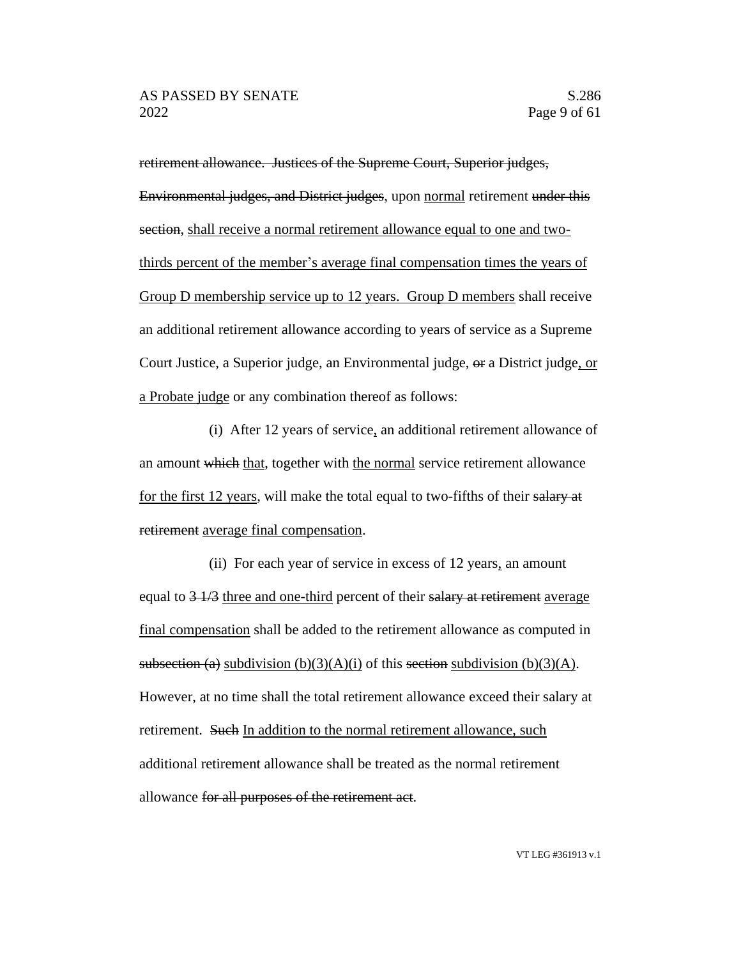retirement allowance. Justices of the Supreme Court, Superior judges, Environmental judges, and District judges, upon normal retirement under this section, shall receive a normal retirement allowance equal to one and twothirds percent of the member's average final compensation times the years of Group D membership service up to 12 years. Group D members shall receive an additional retirement allowance according to years of service as a Supreme Court Justice, a Superior judge, an Environmental judge, or a District judge, or a Probate judge or any combination thereof as follows:

(i) After 12 years of service, an additional retirement allowance of an amount which that, together with the normal service retirement allowance for the first 12 years, will make the total equal to two-fifths of their salary at retirement average final compensation.

(ii) For each year of service in excess of 12 years, an amount equal to  $\frac{3 + 73}{2}$  three and one-third percent of their salary at retirement average final compensation shall be added to the retirement allowance as computed in subsection (a) subdivision (b)(3)(A)(i) of this section subdivision (b)(3)(A). However, at no time shall the total retirement allowance exceed their salary at retirement. Such In addition to the normal retirement allowance, such additional retirement allowance shall be treated as the normal retirement allowance for all purposes of the retirement act.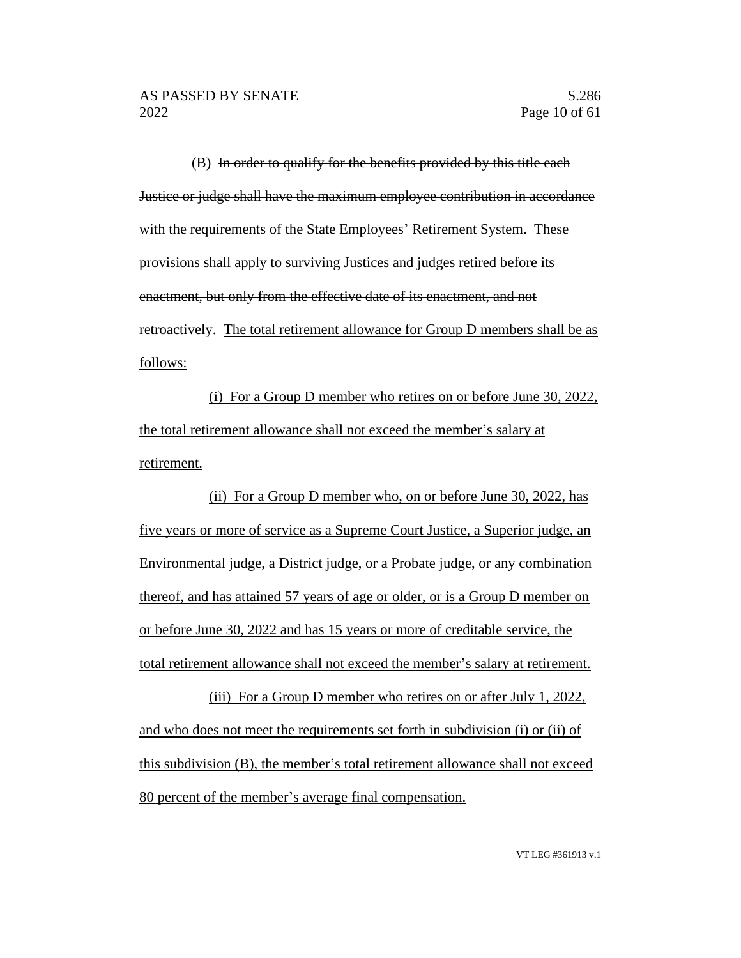(B) In order to qualify for the benefits provided by this title each Justice or judge shall have the maximum employee contribution in accordance with the requirements of the State Employees' Retirement System. These provisions shall apply to surviving Justices and judges retired before its enactment, but only from the effective date of its enactment, and not retroactively. The total retirement allowance for Group D members shall be as follows:

(i) For a Group D member who retires on or before June 30, 2022, the total retirement allowance shall not exceed the member's salary at retirement.

(ii) For a Group D member who, on or before June 30, 2022, has five years or more of service as a Supreme Court Justice, a Superior judge, an Environmental judge, a District judge, or a Probate judge, or any combination thereof, and has attained 57 years of age or older, or is a Group D member on or before June 30, 2022 and has 15 years or more of creditable service, the total retirement allowance shall not exceed the member's salary at retirement.

(iii) For a Group D member who retires on or after July 1, 2022, and who does not meet the requirements set forth in subdivision (i) or (ii) of this subdivision (B), the member's total retirement allowance shall not exceed 80 percent of the member's average final compensation.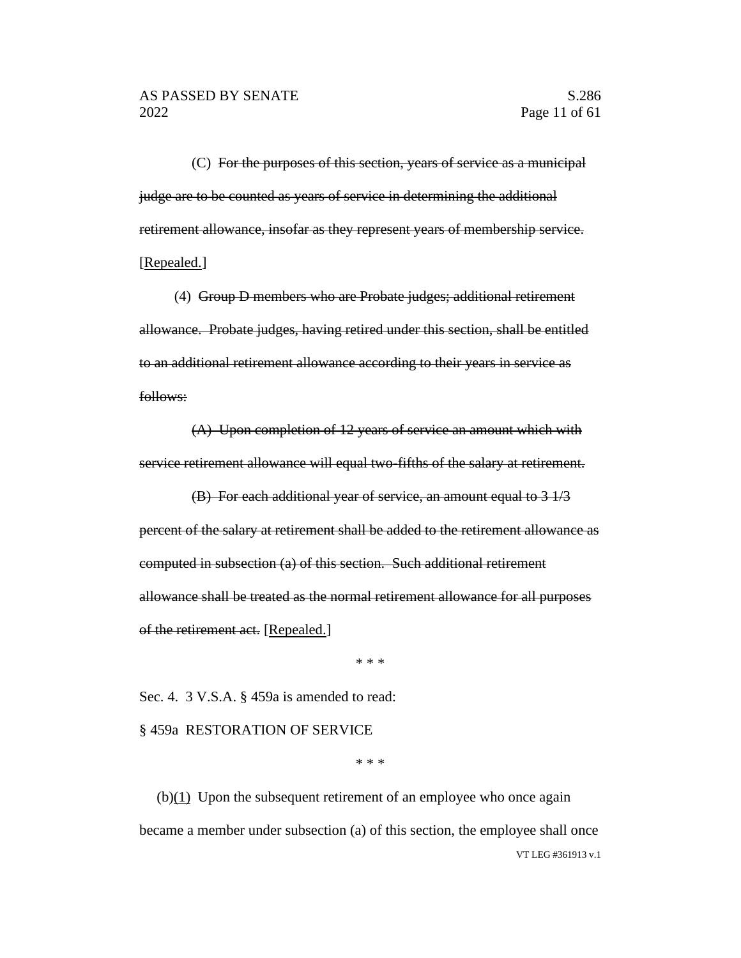(C) For the purposes of this section, years of service as a municipal judge are to be counted as years of service in determining the additional retirement allowance, insofar as they represent years of membership service. [Repealed.]

(4) Group D members who are Probate judges; additional retirement allowance. Probate judges, having retired under this section, shall be entitled to an additional retirement allowance according to their years in service as follows:

(A) Upon completion of 12 years of service an amount which with service retirement allowance will equal two-fifths of the salary at retirement.

(B) For each additional year of service, an amount equal to 3 1/3 percent of the salary at retirement shall be added to the retirement allowance as computed in subsection (a) of this section. Such additional retirement allowance shall be treated as the normal retirement allowance for all purposes of the retirement act. [Repealed.]

\* \* \*

Sec. 4. 3 V.S.A. § 459a is amended to read:

§ 459a RESTORATION OF SERVICE

\* \* \*

VT LEG #361913 v.1  $(b)(1)$  Upon the subsequent retirement of an employee who once again became a member under subsection (a) of this section, the employee shall once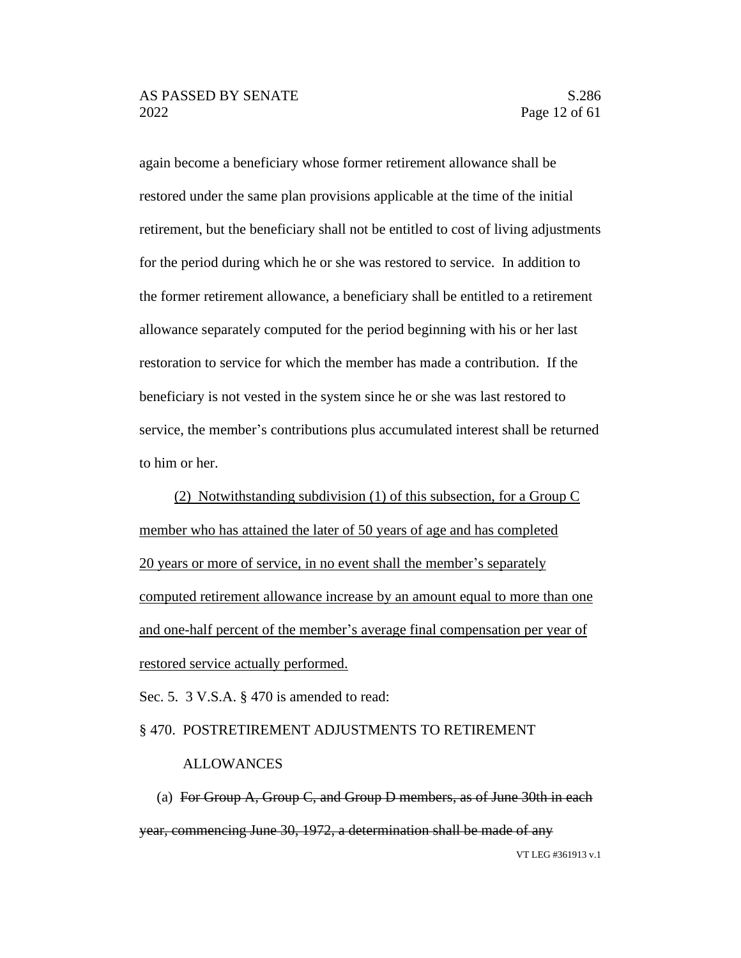again become a beneficiary whose former retirement allowance shall be restored under the same plan provisions applicable at the time of the initial retirement, but the beneficiary shall not be entitled to cost of living adjustments for the period during which he or she was restored to service. In addition to the former retirement allowance, a beneficiary shall be entitled to a retirement allowance separately computed for the period beginning with his or her last restoration to service for which the member has made a contribution. If the beneficiary is not vested in the system since he or she was last restored to service, the member's contributions plus accumulated interest shall be returned to him or her.

(2) Notwithstanding subdivision (1) of this subsection, for a Group C member who has attained the later of 50 years of age and has completed 20 years or more of service, in no event shall the member's separately computed retirement allowance increase by an amount equal to more than one and one-half percent of the member's average final compensation per year of restored service actually performed.

Sec. 5. 3 V.S.A. § 470 is amended to read:

#### § 470. POSTRETIREMENT ADJUSTMENTS TO RETIREMENT

#### ALLOWANCES

VT LEG #361913 v.1 (a) For Group  $A$ , Group C, and Group D members, as of June 30th in each year, commencing June 30, 1972, a determination shall be made of any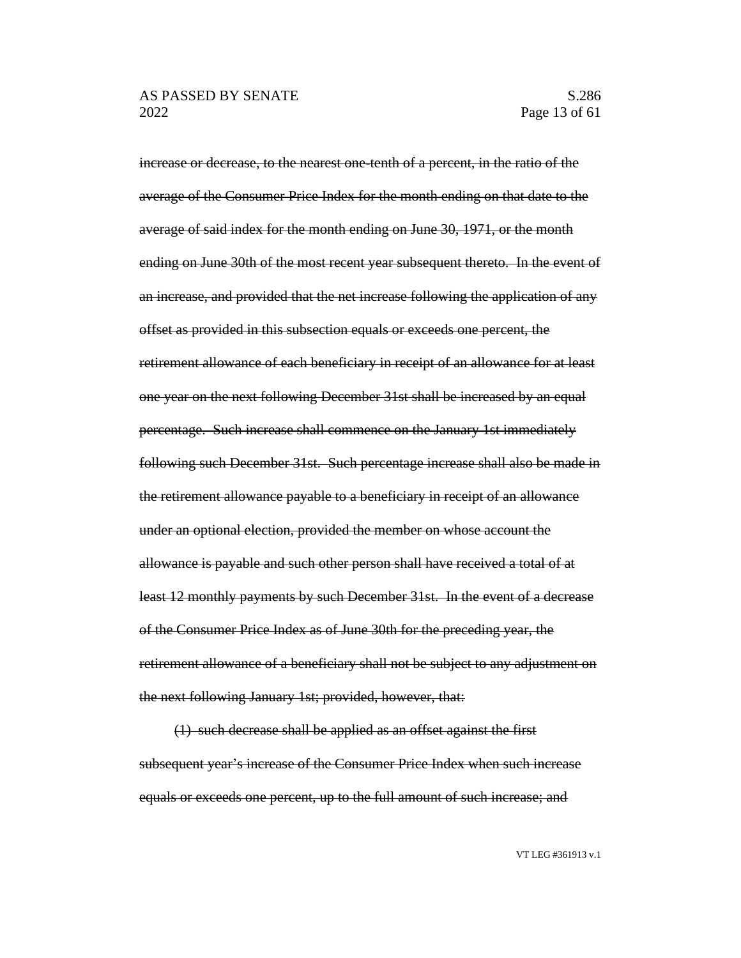increase or decrease, to the nearest one-tenth of a percent, in the ratio of the average of the Consumer Price Index for the month ending on that date to the average of said index for the month ending on June 30, 1971, or the month ending on June 30th of the most recent year subsequent thereto. In the event of an increase, and provided that the net increase following the application of any offset as provided in this subsection equals or exceeds one percent, the retirement allowance of each beneficiary in receipt of an allowance for at least one year on the next following December 31st shall be increased by an equal percentage. Such increase shall commence on the January 1st immediately following such December 31st. Such percentage increase shall also be made in the retirement allowance payable to a beneficiary in receipt of an allowance under an optional election, provided the member on whose account the allowance is payable and such other person shall have received a total of at least 12 monthly payments by such December 31st. In the event of a decrease of the Consumer Price Index as of June 30th for the preceding year, the retirement allowance of a beneficiary shall not be subject to any adjustment on the next following January 1st; provided, however, that:

(1) such decrease shall be applied as an offset against the first subsequent year's increase of the Consumer Price Index when such increase equals or exceeds one percent, up to the full amount of such increase; and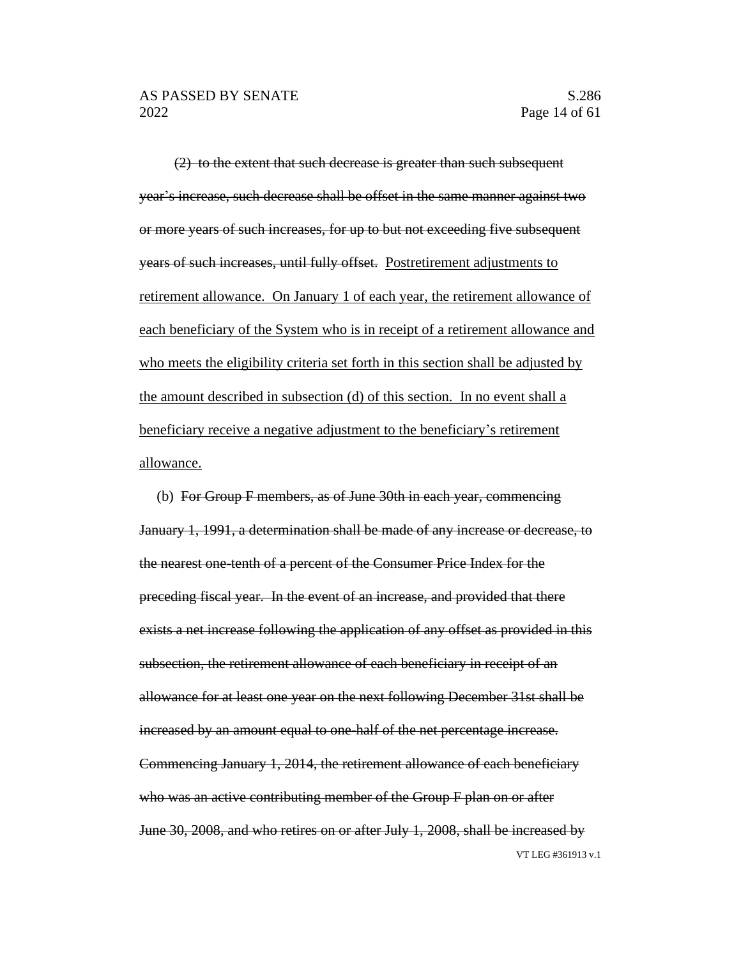(2) to the extent that such decrease is greater than such subsequent year's increase, such decrease shall be offset in the same manner against two or more years of such increases, for up to but not exceeding five subsequent years of such increases, until fully offset. Postretirement adjustments to retirement allowance. On January 1 of each year, the retirement allowance of each beneficiary of the System who is in receipt of a retirement allowance and who meets the eligibility criteria set forth in this section shall be adjusted by the amount described in subsection (d) of this section. In no event shall a beneficiary receive a negative adjustment to the beneficiary's retirement allowance.

VT LEG #361913 v.1 (b) For Group F members, as of June 30th in each year, commencing January 1, 1991, a determination shall be made of any increase or decrease, to the nearest one-tenth of a percent of the Consumer Price Index for the preceding fiscal year. In the event of an increase, and provided that there exists a net increase following the application of any offset as provided in this subsection, the retirement allowance of each beneficiary in receipt of an allowance for at least one year on the next following December 31st shall be increased by an amount equal to one-half of the net percentage increase. Commencing January 1, 2014, the retirement allowance of each beneficiary who was an active contributing member of the Group F plan on or after June 30, 2008, and who retires on or after July 1, 2008, shall be increased by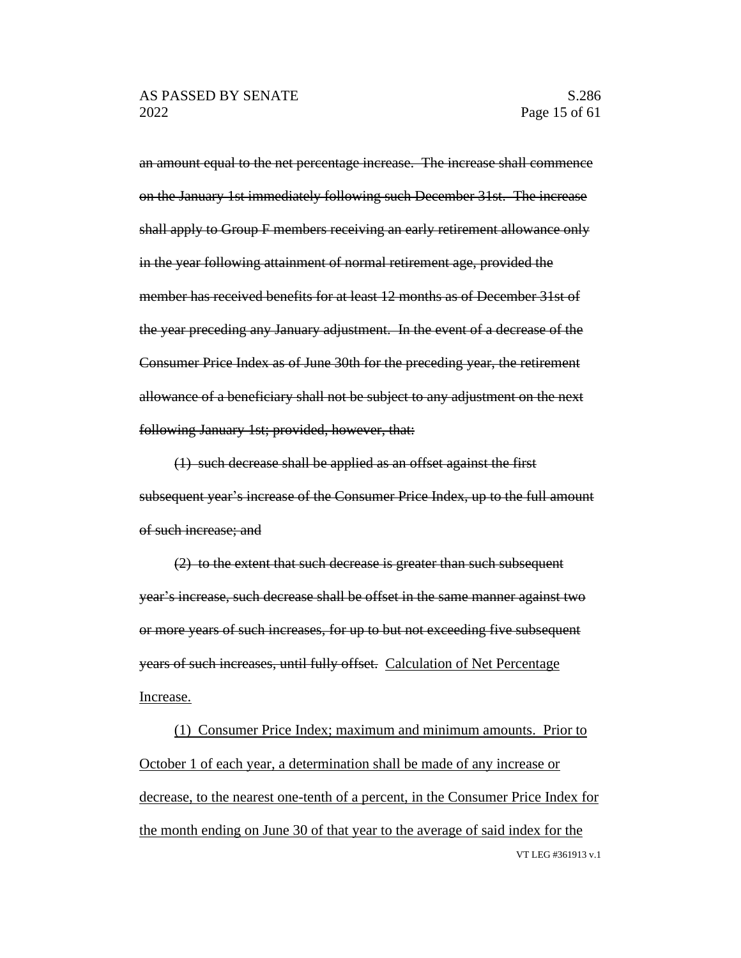an amount equal to the net percentage increase. The increase shall commence on the January 1st immediately following such December 31st. The increase shall apply to Group F members receiving an early retirement allowance only in the year following attainment of normal retirement age, provided the member has received benefits for at least 12 months as of December 31st of the year preceding any January adjustment. In the event of a decrease of the Consumer Price Index as of June 30th for the preceding year, the retirement allowance of a beneficiary shall not be subject to any adjustment on the next following January 1st; provided, however, that:

(1) such decrease shall be applied as an offset against the first subsequent year's increase of the Consumer Price Index, up to the full amount of such increase; and

(2) to the extent that such decrease is greater than such subsequent year's increase, such decrease shall be offset in the same manner against two or more years of such increases, for up to but not exceeding five subsequent years of such increases, until fully offset. Calculation of Net Percentage Increase.

VT LEG #361913 v.1 (1) Consumer Price Index; maximum and minimum amounts. Prior to October 1 of each year, a determination shall be made of any increase or decrease, to the nearest one-tenth of a percent, in the Consumer Price Index for the month ending on June 30 of that year to the average of said index for the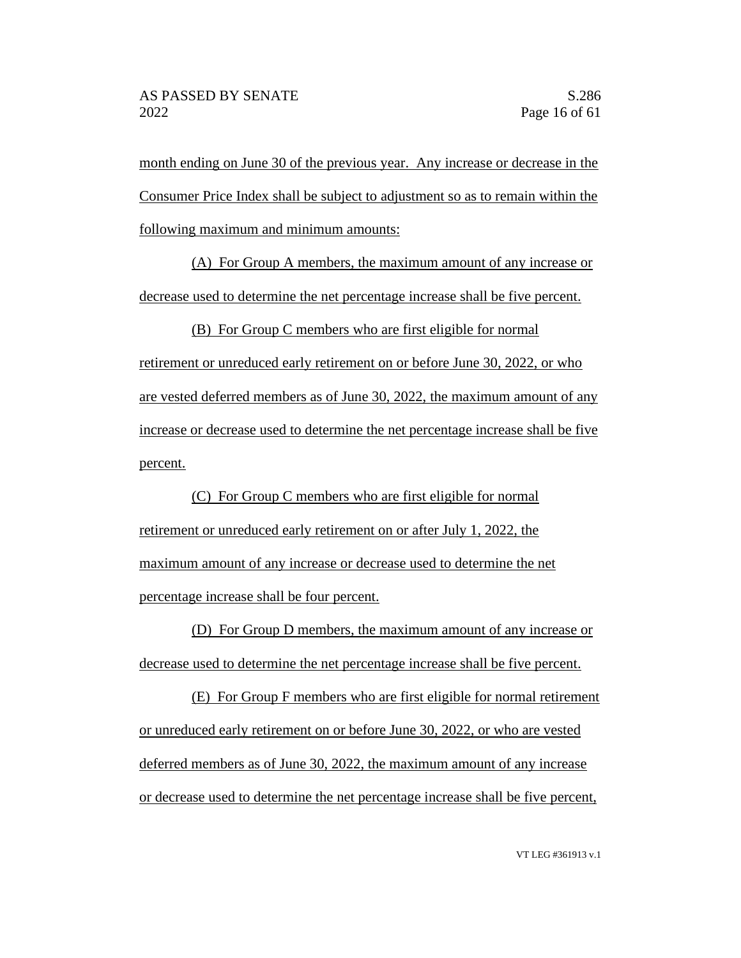month ending on June 30 of the previous year. Any increase or decrease in the Consumer Price Index shall be subject to adjustment so as to remain within the following maximum and minimum amounts:

(A) For Group A members, the maximum amount of any increase or decrease used to determine the net percentage increase shall be five percent.

(B) For Group C members who are first eligible for normal retirement or unreduced early retirement on or before June 30, 2022, or who are vested deferred members as of June 30, 2022, the maximum amount of any increase or decrease used to determine the net percentage increase shall be five percent.

(C) For Group C members who are first eligible for normal retirement or unreduced early retirement on or after July 1, 2022, the maximum amount of any increase or decrease used to determine the net percentage increase shall be four percent.

(D) For Group D members, the maximum amount of any increase or decrease used to determine the net percentage increase shall be five percent.

(E) For Group F members who are first eligible for normal retirement or unreduced early retirement on or before June 30, 2022, or who are vested deferred members as of June 30, 2022, the maximum amount of any increase or decrease used to determine the net percentage increase shall be five percent,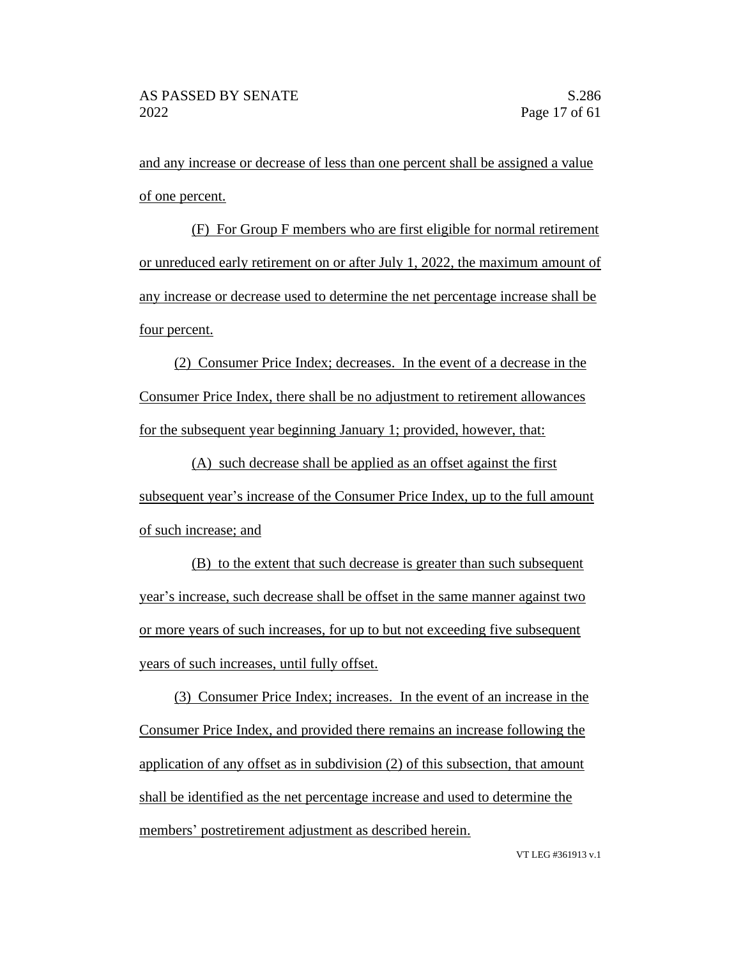and any increase or decrease of less than one percent shall be assigned a value of one percent.

(F) For Group F members who are first eligible for normal retirement or unreduced early retirement on or after July 1, 2022, the maximum amount of any increase or decrease used to determine the net percentage increase shall be four percent.

(2) Consumer Price Index; decreases. In the event of a decrease in the Consumer Price Index, there shall be no adjustment to retirement allowances for the subsequent year beginning January 1; provided, however, that:

(A) such decrease shall be applied as an offset against the first subsequent year's increase of the Consumer Price Index, up to the full amount of such increase; and

(B) to the extent that such decrease is greater than such subsequent year's increase, such decrease shall be offset in the same manner against two or more years of such increases, for up to but not exceeding five subsequent years of such increases, until fully offset.

(3) Consumer Price Index; increases. In the event of an increase in the Consumer Price Index, and provided there remains an increase following the application of any offset as in subdivision (2) of this subsection, that amount shall be identified as the net percentage increase and used to determine the members' postretirement adjustment as described herein.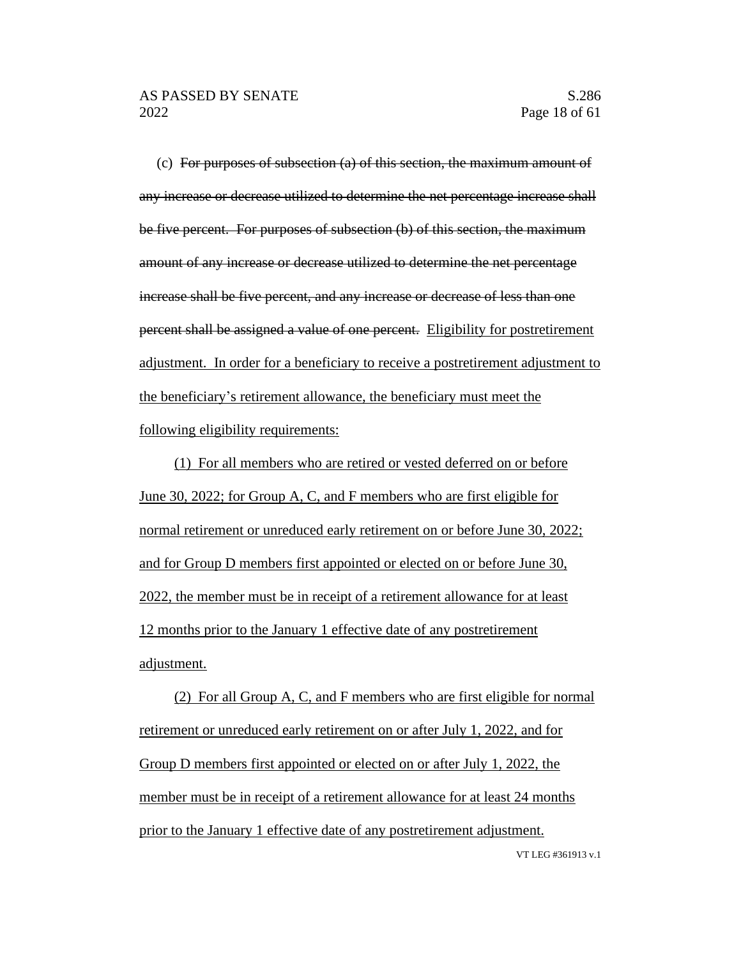VT LEG #361913 v.1

(c) For purposes of subsection  $(a)$  of this section, the maximum amount of any increase or decrease utilized to determine the net percentage increase shall be five percent. For purposes of subsection (b) of this section, the maximum amount of any increase or decrease utilized to determine the net percentage increase shall be five percent, and any increase or decrease of less than one percent shall be assigned a value of one percent. Eligibility for postretirement adjustment. In order for a beneficiary to receive a postretirement adjustment to the beneficiary's retirement allowance, the beneficiary must meet the following eligibility requirements:

(1) For all members who are retired or vested deferred on or before June 30, 2022; for Group A, C, and F members who are first eligible for normal retirement or unreduced early retirement on or before June 30, 2022; and for Group D members first appointed or elected on or before June 30, 2022, the member must be in receipt of a retirement allowance for at least 12 months prior to the January 1 effective date of any postretirement adjustment.

(2) For all Group A, C, and F members who are first eligible for normal retirement or unreduced early retirement on or after July 1, 2022, and for Group D members first appointed or elected on or after July 1, 2022, the member must be in receipt of a retirement allowance for at least 24 months prior to the January 1 effective date of any postretirement adjustment.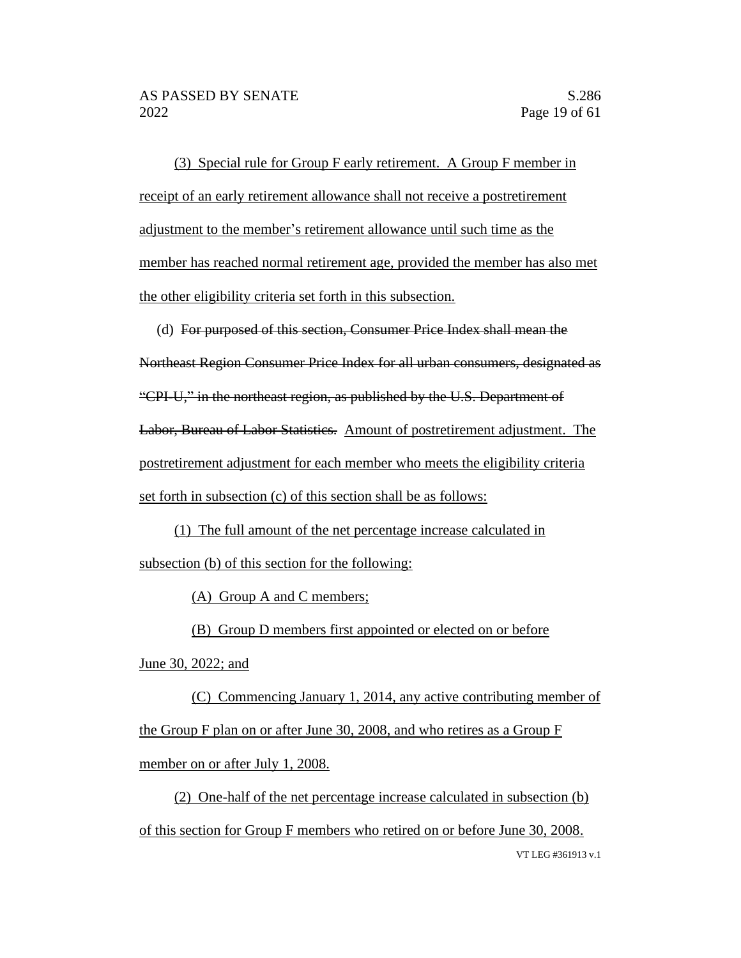(3) Special rule for Group F early retirement. A Group F member in receipt of an early retirement allowance shall not receive a postretirement adjustment to the member's retirement allowance until such time as the member has reached normal retirement age, provided the member has also met the other eligibility criteria set forth in this subsection.

(d) For purposed of this section, Consumer Price Index shall mean the Northeast Region Consumer Price Index for all urban consumers, designated as "CPI-U," in the northeast region, as published by the U.S. Department of Labor, Bureau of Labor Statistics. Amount of postretirement adjustment. The postretirement adjustment for each member who meets the eligibility criteria set forth in subsection (c) of this section shall be as follows:

(1) The full amount of the net percentage increase calculated in subsection (b) of this section for the following:

(A) Group A and C members;

(B) Group D members first appointed or elected on or before

June 30, 2022; and

(C) Commencing January 1, 2014, any active contributing member of the Group F plan on or after June 30, 2008, and who retires as a Group F member on or after July 1, 2008.

VT LEG #361913 v.1 (2) One-half of the net percentage increase calculated in subsection (b) of this section for Group F members who retired on or before June 30, 2008.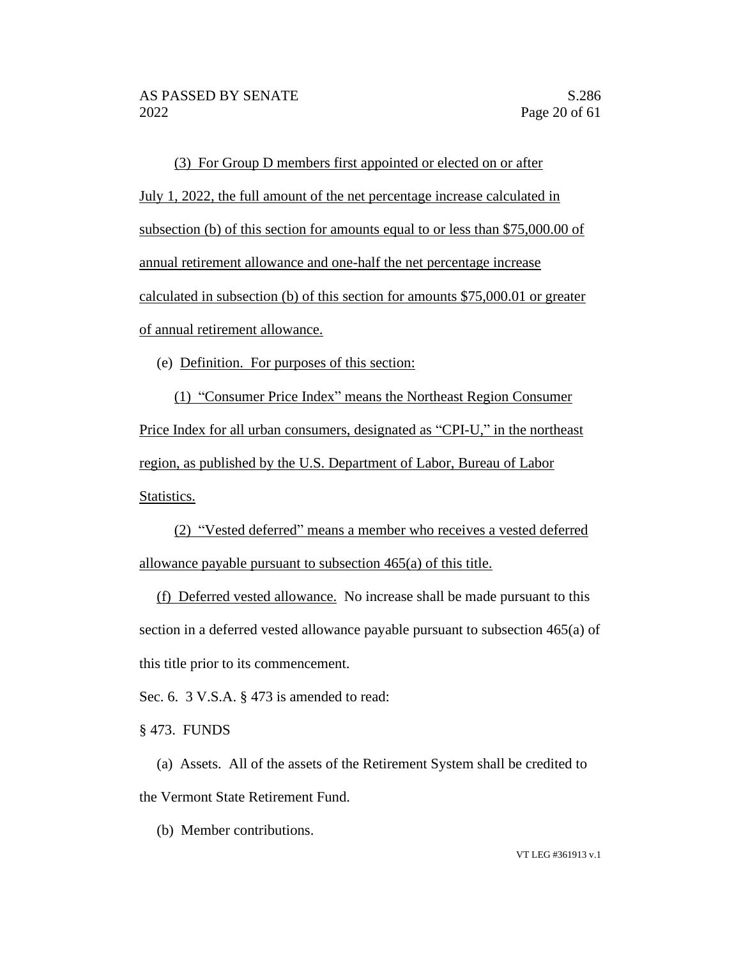(3) For Group D members first appointed or elected on or after July 1, 2022, the full amount of the net percentage increase calculated in subsection (b) of this section for amounts equal to or less than \$75,000.00 of annual retirement allowance and one-half the net percentage increase calculated in subsection (b) of this section for amounts \$75,000.01 or greater of annual retirement allowance.

(e) Definition. For purposes of this section:

(1) "Consumer Price Index" means the Northeast Region Consumer Price Index for all urban consumers, designated as "CPI-U," in the northeast region, as published by the U.S. Department of Labor, Bureau of Labor Statistics.

(2) "Vested deferred" means a member who receives a vested deferred allowance payable pursuant to subsection 465(a) of this title.

(f) Deferred vested allowance. No increase shall be made pursuant to this section in a deferred vested allowance payable pursuant to subsection 465(a) of this title prior to its commencement.

Sec. 6. 3 V.S.A. § 473 is amended to read:

§ 473. FUNDS

(a) Assets. All of the assets of the Retirement System shall be credited to the Vermont State Retirement Fund.

(b) Member contributions.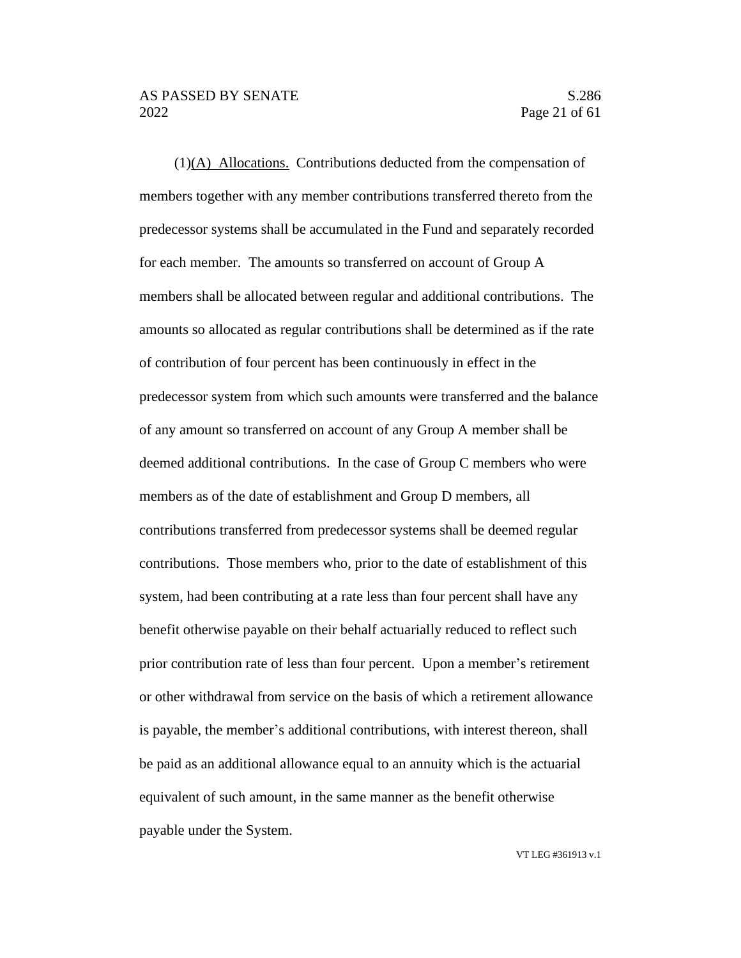(1)(A) Allocations. Contributions deducted from the compensation of members together with any member contributions transferred thereto from the predecessor systems shall be accumulated in the Fund and separately recorded for each member. The amounts so transferred on account of Group A members shall be allocated between regular and additional contributions. The amounts so allocated as regular contributions shall be determined as if the rate of contribution of four percent has been continuously in effect in the predecessor system from which such amounts were transferred and the balance of any amount so transferred on account of any Group A member shall be deemed additional contributions. In the case of Group C members who were members as of the date of establishment and Group D members, all contributions transferred from predecessor systems shall be deemed regular contributions. Those members who, prior to the date of establishment of this system, had been contributing at a rate less than four percent shall have any benefit otherwise payable on their behalf actuarially reduced to reflect such prior contribution rate of less than four percent. Upon a member's retirement or other withdrawal from service on the basis of which a retirement allowance is payable, the member's additional contributions, with interest thereon, shall be paid as an additional allowance equal to an annuity which is the actuarial equivalent of such amount, in the same manner as the benefit otherwise payable under the System.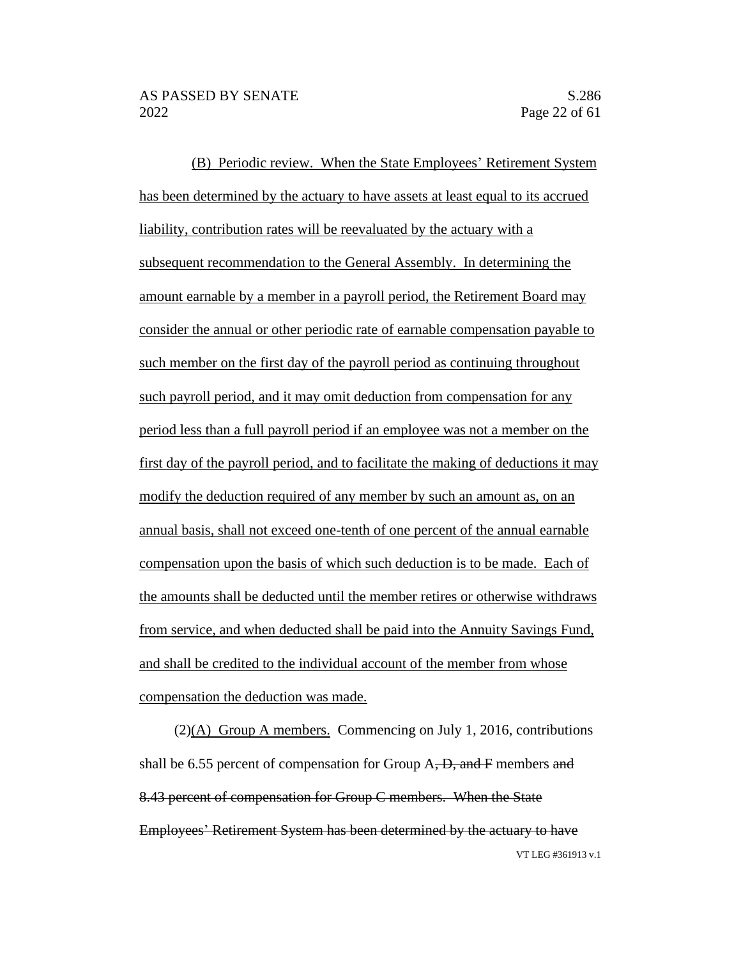(B) Periodic review. When the State Employees' Retirement System has been determined by the actuary to have assets at least equal to its accrued liability, contribution rates will be reevaluated by the actuary with a subsequent recommendation to the General Assembly. In determining the amount earnable by a member in a payroll period, the Retirement Board may consider the annual or other periodic rate of earnable compensation payable to such member on the first day of the payroll period as continuing throughout such payroll period, and it may omit deduction from compensation for any period less than a full payroll period if an employee was not a member on the first day of the payroll period, and to facilitate the making of deductions it may modify the deduction required of any member by such an amount as, on an annual basis, shall not exceed one-tenth of one percent of the annual earnable compensation upon the basis of which such deduction is to be made. Each of the amounts shall be deducted until the member retires or otherwise withdraws from service, and when deducted shall be paid into the Annuity Savings Fund, and shall be credited to the individual account of the member from whose compensation the deduction was made.

VT LEG #361913 v.1 (2)(A) Group A members. Commencing on July 1, 2016, contributions shall be 6.55 percent of compensation for Group  $A$ ,  $D$ , and  $F$  members and 8.43 percent of compensation for Group C members. When the State Employees' Retirement System has been determined by the actuary to have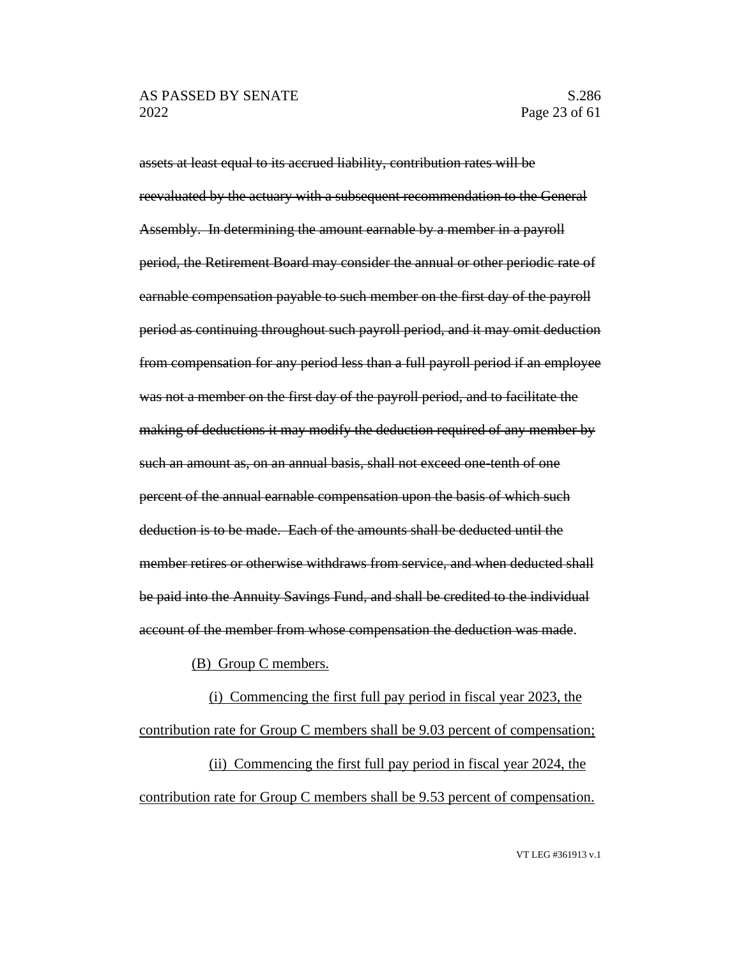assets at least equal to its accrued liability, contribution rates will be reevaluated by the actuary with a subsequent recommendation to the General Assembly. In determining the amount earnable by a member in a payroll period, the Retirement Board may consider the annual or other periodic rate of earnable compensation payable to such member on the first day of the payroll period as continuing throughout such payroll period, and it may omit deduction from compensation for any period less than a full payroll period if an employee was not a member on the first day of the payroll period, and to facilitate the making of deductions it may modify the deduction required of any member by such an amount as, on an annual basis, shall not exceed one-tenth of one percent of the annual earnable compensation upon the basis of which such deduction is to be made. Each of the amounts shall be deducted until the member retires or otherwise withdraws from service, and when deducted shall be paid into the Annuity Savings Fund, and shall be credited to the individual account of the member from whose compensation the deduction was made.

(B) Group C members.

(i) Commencing the first full pay period in fiscal year 2023, the contribution rate for Group C members shall be 9.03 percent of compensation; (ii) Commencing the first full pay period in fiscal year 2024, the

contribution rate for Group C members shall be 9.53 percent of compensation.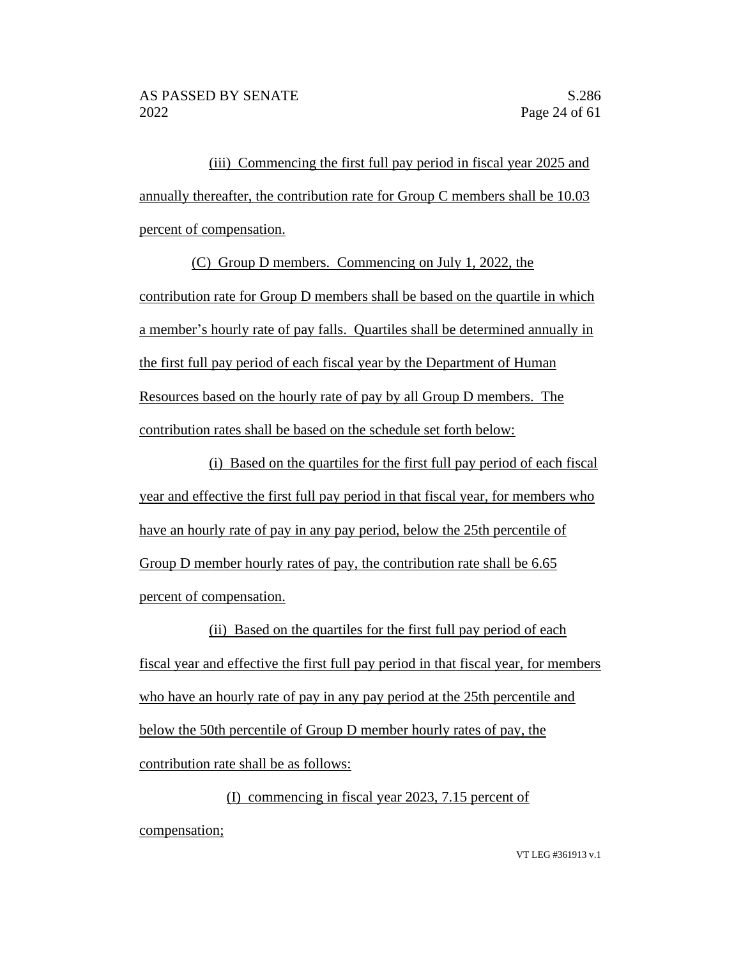(iii) Commencing the first full pay period in fiscal year 2025 and annually thereafter, the contribution rate for Group C members shall be 10.03 percent of compensation.

(C) Group D members. Commencing on July 1, 2022, the contribution rate for Group D members shall be based on the quartile in which a member's hourly rate of pay falls. Quartiles shall be determined annually in the first full pay period of each fiscal year by the Department of Human Resources based on the hourly rate of pay by all Group D members. The contribution rates shall be based on the schedule set forth below:

(i) Based on the quartiles for the first full pay period of each fiscal year and effective the first full pay period in that fiscal year, for members who have an hourly rate of pay in any pay period, below the 25th percentile of Group D member hourly rates of pay, the contribution rate shall be 6.65 percent of compensation.

(ii) Based on the quartiles for the first full pay period of each fiscal year and effective the first full pay period in that fiscal year, for members who have an hourly rate of pay in any pay period at the 25th percentile and below the 50th percentile of Group D member hourly rates of pay, the contribution rate shall be as follows:

(I) commencing in fiscal year 2023, 7.15 percent of compensation;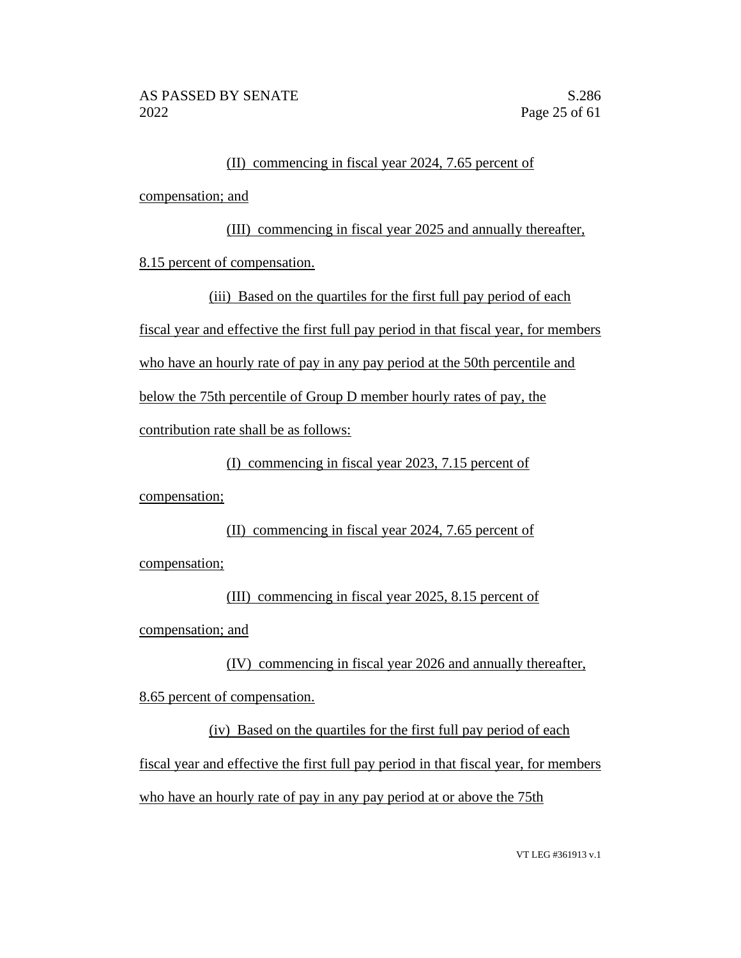# (II) commencing in fiscal year 2024, 7.65 percent of

compensation; and

(III) commencing in fiscal year 2025 and annually thereafter, 8.15 percent of compensation.

(iii) Based on the quartiles for the first full pay period of each fiscal year and effective the first full pay period in that fiscal year, for members who have an hourly rate of pay in any pay period at the 50th percentile and below the 75th percentile of Group D member hourly rates of pay, the contribution rate shall be as follows:

(I) commencing in fiscal year 2023, 7.15 percent of

compensation;

# (II) commencing in fiscal year 2024, 7.65 percent of

compensation;

(III) commencing in fiscal year 2025, 8.15 percent of compensation; and

(IV) commencing in fiscal year 2026 and annually thereafter,

8.65 percent of compensation.

(iv) Based on the quartiles for the first full pay period of each fiscal year and effective the first full pay period in that fiscal year, for members who have an hourly rate of pay in any pay period at or above the 75th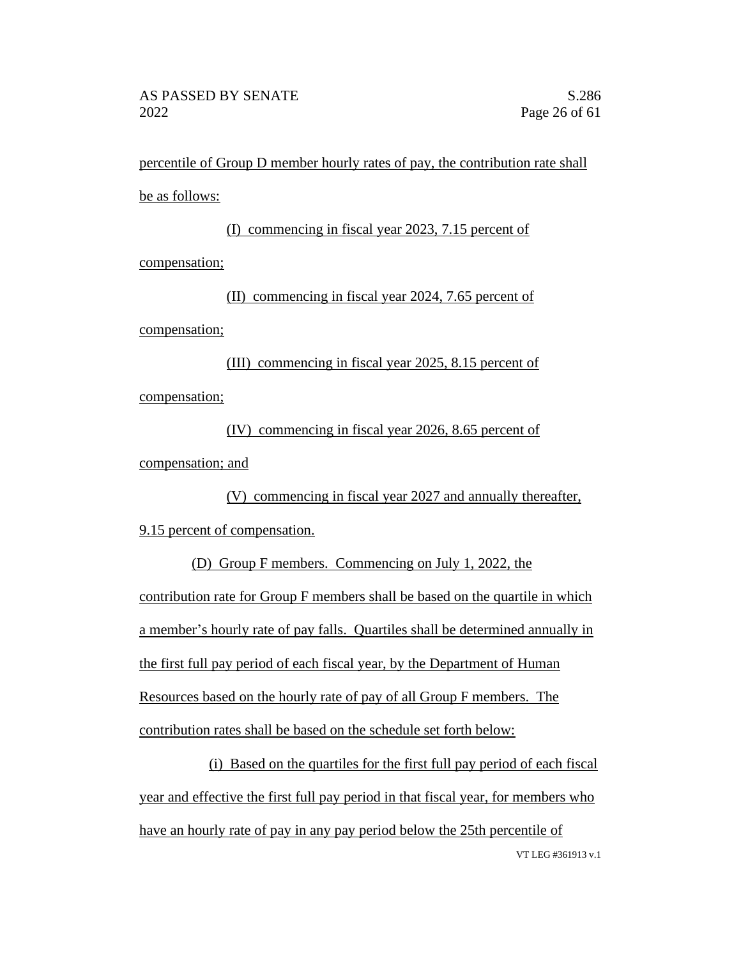percentile of Group D member hourly rates of pay, the contribution rate shall be as follows:

(I) commencing in fiscal year 2023, 7.15 percent of compensation; (II) commencing in fiscal year 2024, 7.65 percent of

compensation;

(III) commencing in fiscal year 2025, 8.15 percent of compensation;

(IV) commencing in fiscal year 2026, 8.65 percent of compensation; and

(V) commencing in fiscal year 2027 and annually thereafter, 9.15 percent of compensation.

(D) Group F members. Commencing on July 1, 2022, the contribution rate for Group F members shall be based on the quartile in which a member's hourly rate of pay falls. Quartiles shall be determined annually in the first full pay period of each fiscal year, by the Department of Human Resources based on the hourly rate of pay of all Group F members. The contribution rates shall be based on the schedule set forth below:

VT LEG #361913 v.1 (i) Based on the quartiles for the first full pay period of each fiscal year and effective the first full pay period in that fiscal year, for members who have an hourly rate of pay in any pay period below the 25th percentile of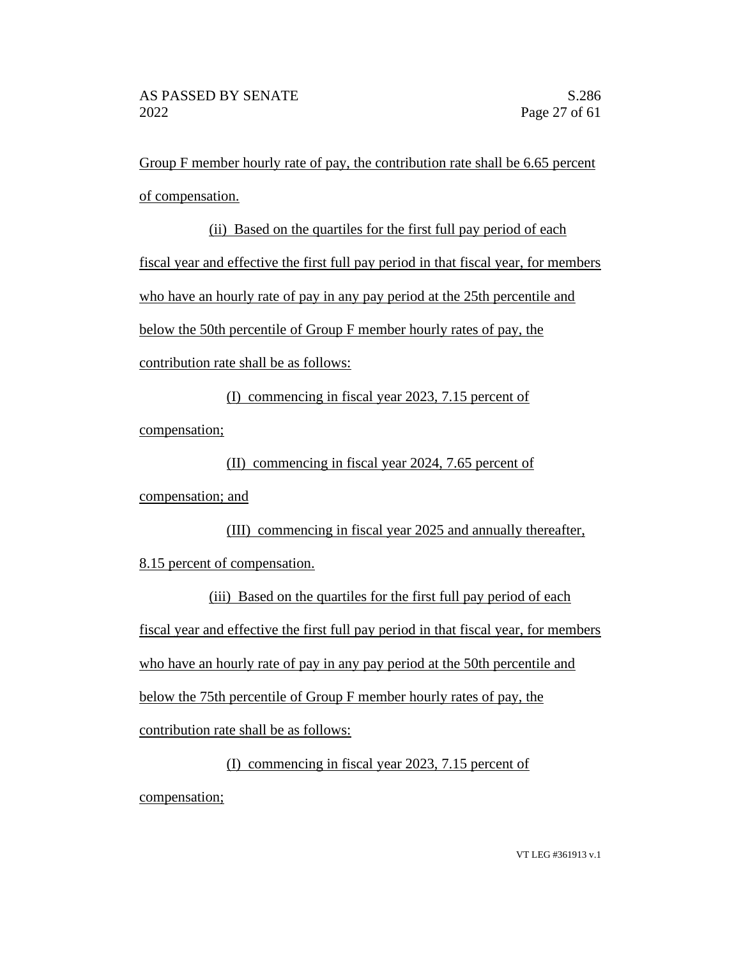Group F member hourly rate of pay, the contribution rate shall be 6.65 percent of compensation.

# (ii) Based on the quartiles for the first full pay period of each fiscal year and effective the first full pay period in that fiscal year, for members who have an hourly rate of pay in any pay period at the 25th percentile and below the 50th percentile of Group F member hourly rates of pay, the contribution rate shall be as follows:

(I) commencing in fiscal year 2023, 7.15 percent of

compensation;

(II) commencing in fiscal year 2024, 7.65 percent of

compensation; and

(III) commencing in fiscal year 2025 and annually thereafter, 8.15 percent of compensation.

(iii) Based on the quartiles for the first full pay period of each fiscal year and effective the first full pay period in that fiscal year, for members who have an hourly rate of pay in any pay period at the 50th percentile and below the 75th percentile of Group F member hourly rates of pay, the contribution rate shall be as follows:

(I) commencing in fiscal year 2023, 7.15 percent of compensation;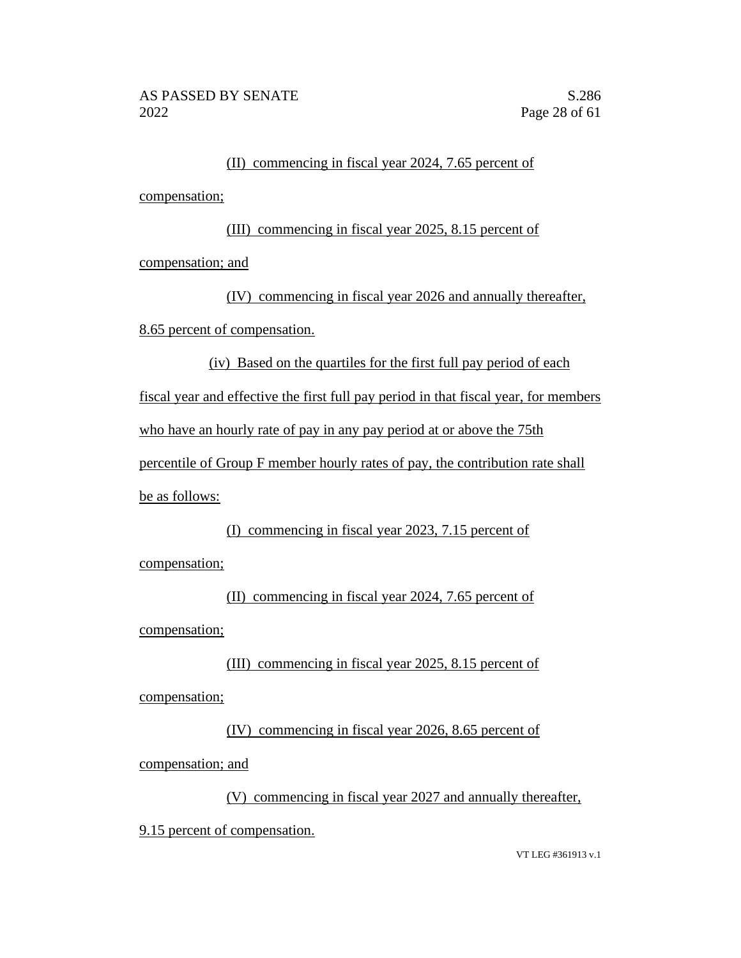### (II) commencing in fiscal year 2024, 7.65 percent of compensation;

### (III) commencing in fiscal year 2025, 8.15 percent of

compensation; and

(IV) commencing in fiscal year 2026 and annually thereafter, 8.65 percent of compensation.

(iv) Based on the quartiles for the first full pay period of each

fiscal year and effective the first full pay period in that fiscal year, for members

who have an hourly rate of pay in any pay period at or above the 75th

percentile of Group F member hourly rates of pay, the contribution rate shall be as follows:

(I) commencing in fiscal year 2023, 7.15 percent of

compensation;

(II) commencing in fiscal year 2024, 7.65 percent of compensation;

(III) commencing in fiscal year 2025, 8.15 percent of compensation;

(IV) commencing in fiscal year 2026, 8.65 percent of

compensation; and

(V) commencing in fiscal year 2027 and annually thereafter,

9.15 percent of compensation.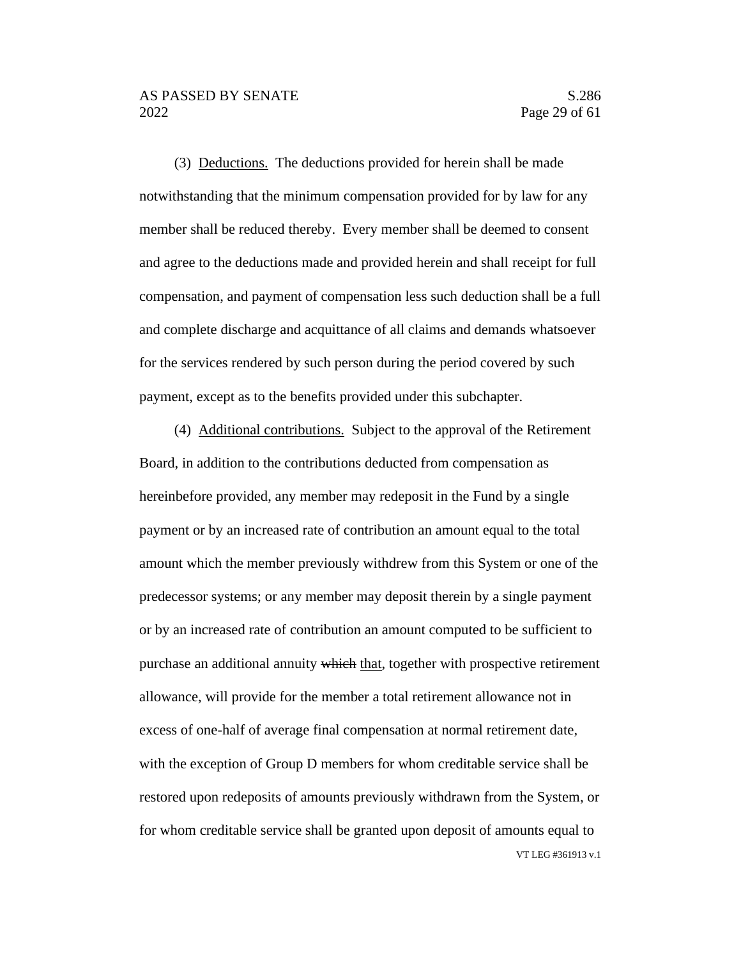(3) Deductions. The deductions provided for herein shall be made notwithstanding that the minimum compensation provided for by law for any member shall be reduced thereby. Every member shall be deemed to consent and agree to the deductions made and provided herein and shall receipt for full compensation, and payment of compensation less such deduction shall be a full and complete discharge and acquittance of all claims and demands whatsoever for the services rendered by such person during the period covered by such payment, except as to the benefits provided under this subchapter.

VT LEG #361913 v.1 (4) Additional contributions. Subject to the approval of the Retirement Board, in addition to the contributions deducted from compensation as hereinbefore provided, any member may redeposit in the Fund by a single payment or by an increased rate of contribution an amount equal to the total amount which the member previously withdrew from this System or one of the predecessor systems; or any member may deposit therein by a single payment or by an increased rate of contribution an amount computed to be sufficient to purchase an additional annuity which that, together with prospective retirement allowance, will provide for the member a total retirement allowance not in excess of one-half of average final compensation at normal retirement date, with the exception of Group D members for whom creditable service shall be restored upon redeposits of amounts previously withdrawn from the System, or for whom creditable service shall be granted upon deposit of amounts equal to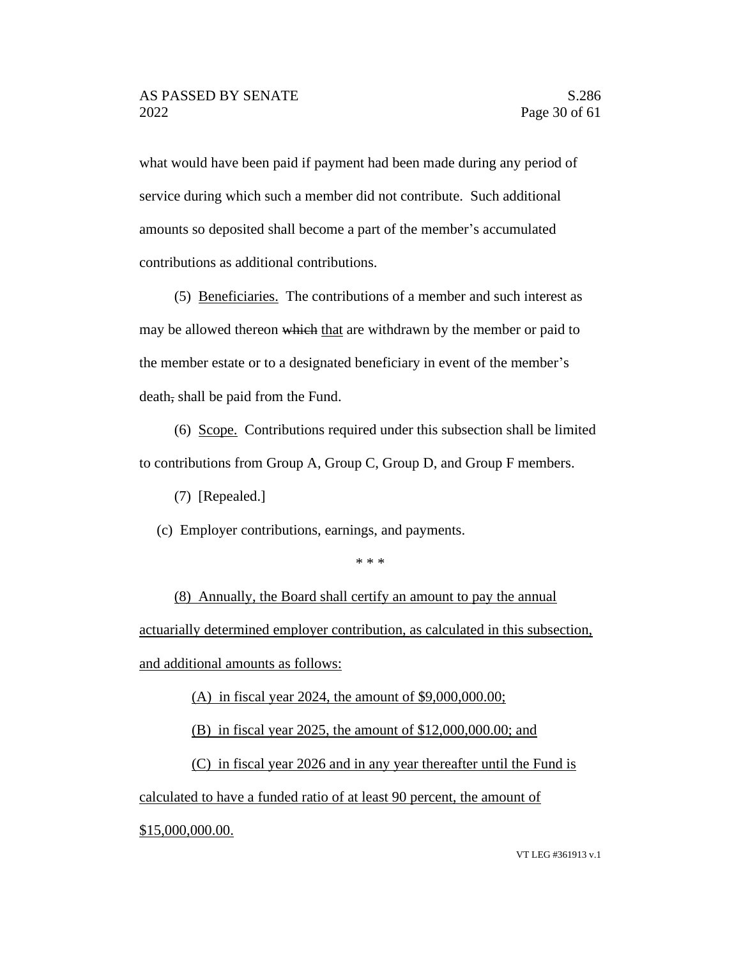what would have been paid if payment had been made during any period of service during which such a member did not contribute. Such additional amounts so deposited shall become a part of the member's accumulated contributions as additional contributions.

(5) Beneficiaries. The contributions of a member and such interest as may be allowed thereon which that are withdrawn by the member or paid to the member estate or to a designated beneficiary in event of the member's death, shall be paid from the Fund.

(6) Scope. Contributions required under this subsection shall be limited to contributions from Group A, Group C, Group D, and Group F members.

(7) [Repealed.]

(c) Employer contributions, earnings, and payments.

\* \* \*

(8) Annually, the Board shall certify an amount to pay the annual actuarially determined employer contribution, as calculated in this subsection, and additional amounts as follows:

(A) in fiscal year 2024, the amount of \$9,000,000.00;

(B) in fiscal year 2025, the amount of \$12,000,000.00; and

(C) in fiscal year 2026 and in any year thereafter until the Fund is calculated to have a funded ratio of at least 90 percent, the amount of \$15,000,000.00.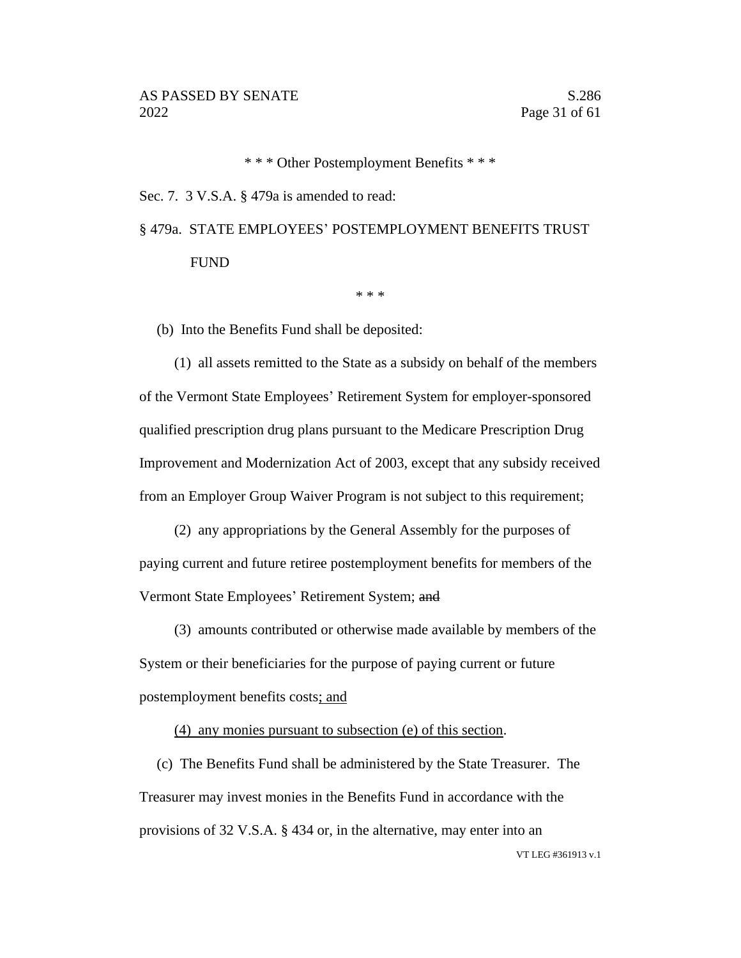\* \* \* Other Postemployment Benefits \* \* \*

Sec. 7. 3 V.S.A. § 479a is amended to read:

## § 479a. STATE EMPLOYEES' POSTEMPLOYMENT BENEFITS TRUST FUND

\* \* \*

(b) Into the Benefits Fund shall be deposited:

(1) all assets remitted to the State as a subsidy on behalf of the members of the Vermont State Employees' Retirement System for employer-sponsored qualified prescription drug plans pursuant to the Medicare Prescription Drug Improvement and Modernization Act of 2003, except that any subsidy received from an Employer Group Waiver Program is not subject to this requirement;

(2) any appropriations by the General Assembly for the purposes of paying current and future retiree postemployment benefits for members of the Vermont State Employees' Retirement System; and

(3) amounts contributed or otherwise made available by members of the System or their beneficiaries for the purpose of paying current or future postemployment benefits costs; and

(4) any monies pursuant to subsection (e) of this section.

(c) The Benefits Fund shall be administered by the State Treasurer. The Treasurer may invest monies in the Benefits Fund in accordance with the provisions of 32 V.S.A. § 434 or, in the alternative, may enter into an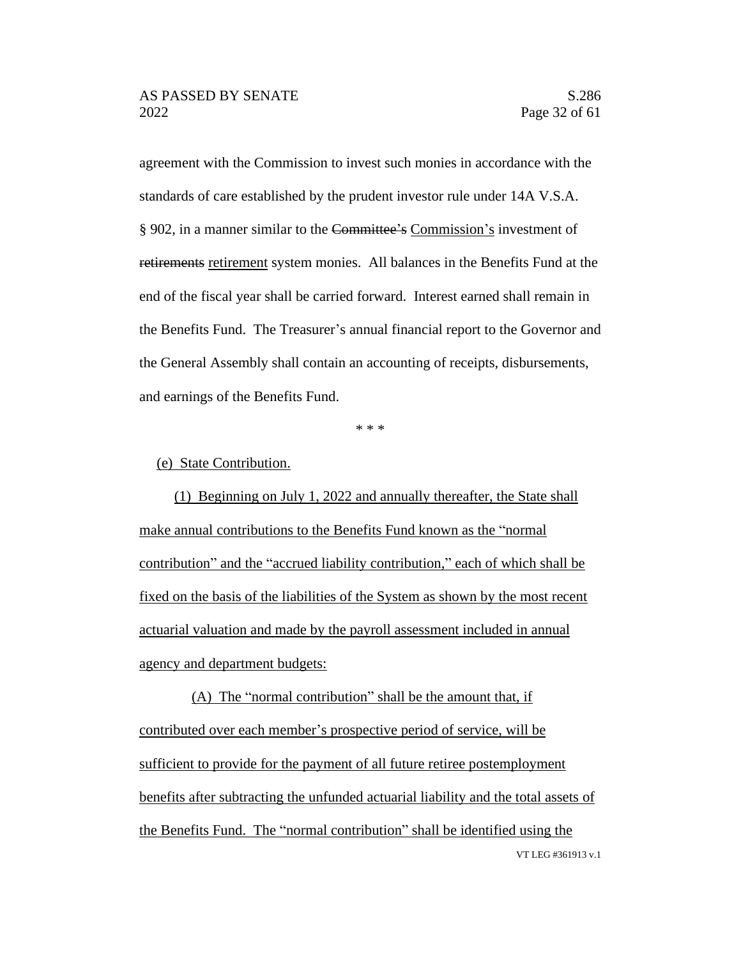agreement with the Commission to invest such monies in accordance with the standards of care established by the prudent investor rule under 14A V.S.A. § 902, in a manner similar to the Committee's Commission's investment of retirements retirement system monies. All balances in the Benefits Fund at the end of the fiscal year shall be carried forward. Interest earned shall remain in the Benefits Fund. The Treasurer's annual financial report to the Governor and the General Assembly shall contain an accounting of receipts, disbursements, and earnings of the Benefits Fund.

\* \* \*

(e) State Contribution.

(1) Beginning on July 1, 2022 and annually thereafter, the State shall make annual contributions to the Benefits Fund known as the "normal contribution" and the "accrued liability contribution," each of which shall be fixed on the basis of the liabilities of the System as shown by the most recent actuarial valuation and made by the payroll assessment included in annual agency and department budgets:

VT LEG #361913 v.1 (A) The "normal contribution" shall be the amount that, if contributed over each member's prospective period of service, will be sufficient to provide for the payment of all future retiree postemployment benefits after subtracting the unfunded actuarial liability and the total assets of the Benefits Fund. The "normal contribution" shall be identified using the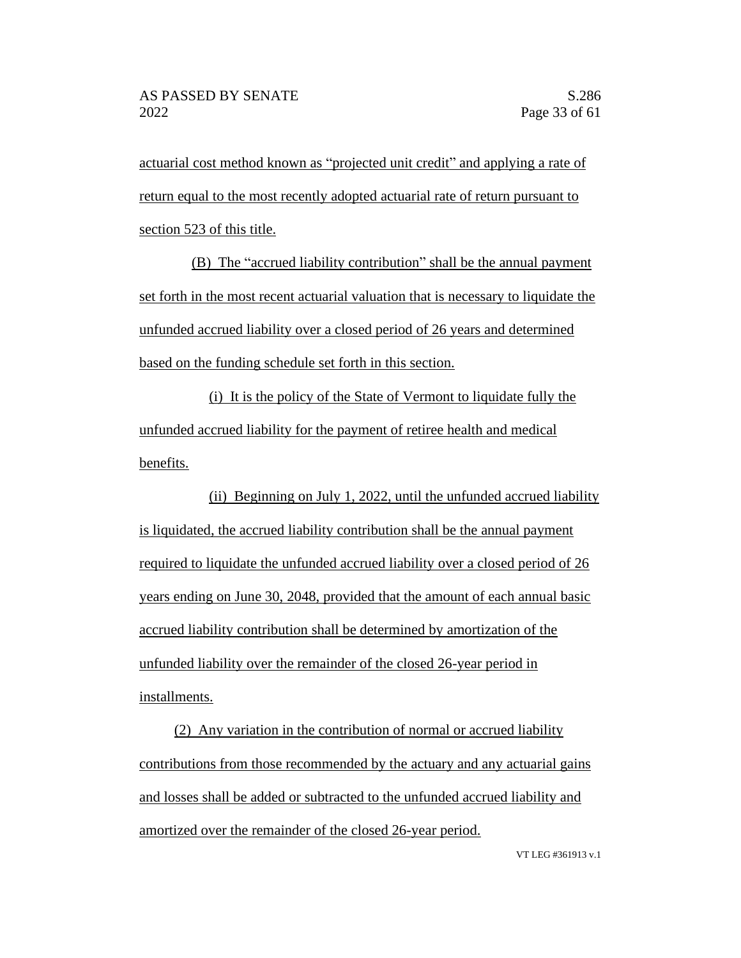actuarial cost method known as "projected unit credit" and applying a rate of return equal to the most recently adopted actuarial rate of return pursuant to section 523 of this title.

(B) The "accrued liability contribution" shall be the annual payment set forth in the most recent actuarial valuation that is necessary to liquidate the unfunded accrued liability over a closed period of 26 years and determined based on the funding schedule set forth in this section.

(i) It is the policy of the State of Vermont to liquidate fully the unfunded accrued liability for the payment of retiree health and medical benefits.

(ii) Beginning on July 1, 2022, until the unfunded accrued liability is liquidated, the accrued liability contribution shall be the annual payment required to liquidate the unfunded accrued liability over a closed period of 26 years ending on June 30, 2048, provided that the amount of each annual basic accrued liability contribution shall be determined by amortization of the unfunded liability over the remainder of the closed 26-year period in installments.

(2) Any variation in the contribution of normal or accrued liability contributions from those recommended by the actuary and any actuarial gains and losses shall be added or subtracted to the unfunded accrued liability and amortized over the remainder of the closed 26-year period.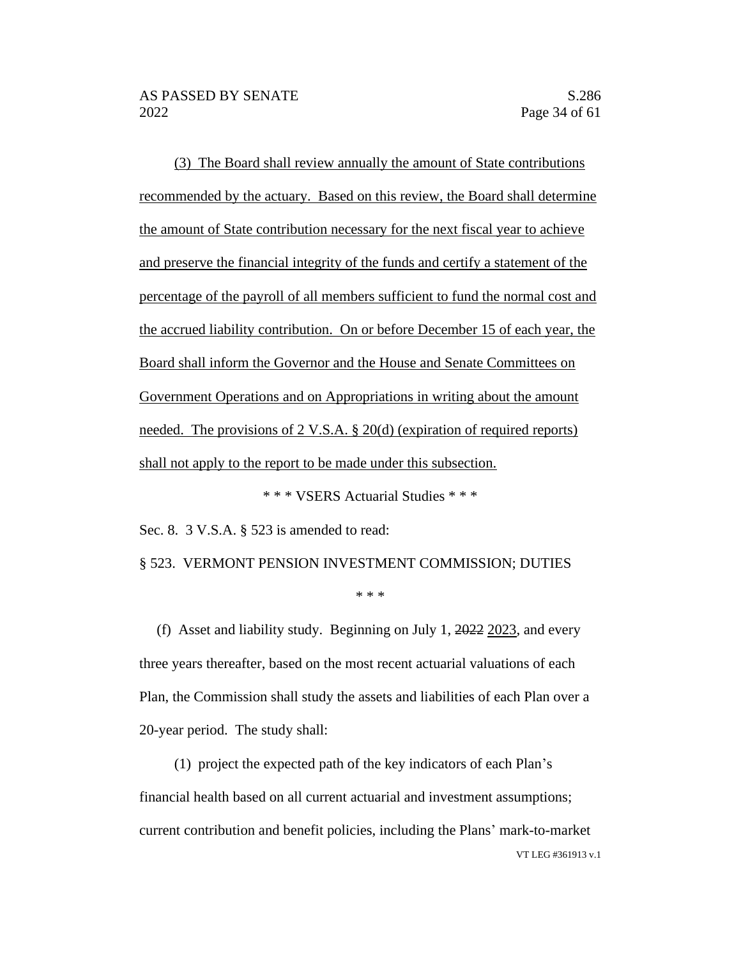(3) The Board shall review annually the amount of State contributions recommended by the actuary. Based on this review, the Board shall determine the amount of State contribution necessary for the next fiscal year to achieve and preserve the financial integrity of the funds and certify a statement of the percentage of the payroll of all members sufficient to fund the normal cost and the accrued liability contribution. On or before December 15 of each year, the Board shall inform the Governor and the House and Senate Committees on Government Operations and on Appropriations in writing about the amount needed. The provisions of 2 V.S.A. § 20(d) (expiration of required reports) shall not apply to the report to be made under this subsection.

\* \* \* VSERS Actuarial Studies \* \* \*

Sec. 8. 3 V.S.A. § 523 is amended to read:

#### § 523. VERMONT PENSION INVESTMENT COMMISSION; DUTIES

\* \* \*

(f) Asset and liability study. Beginning on July 1, 2022 2023, and every three years thereafter, based on the most recent actuarial valuations of each Plan, the Commission shall study the assets and liabilities of each Plan over a 20-year period. The study shall:

VT LEG #361913 v.1 (1) project the expected path of the key indicators of each Plan's financial health based on all current actuarial and investment assumptions; current contribution and benefit policies, including the Plans' mark-to-market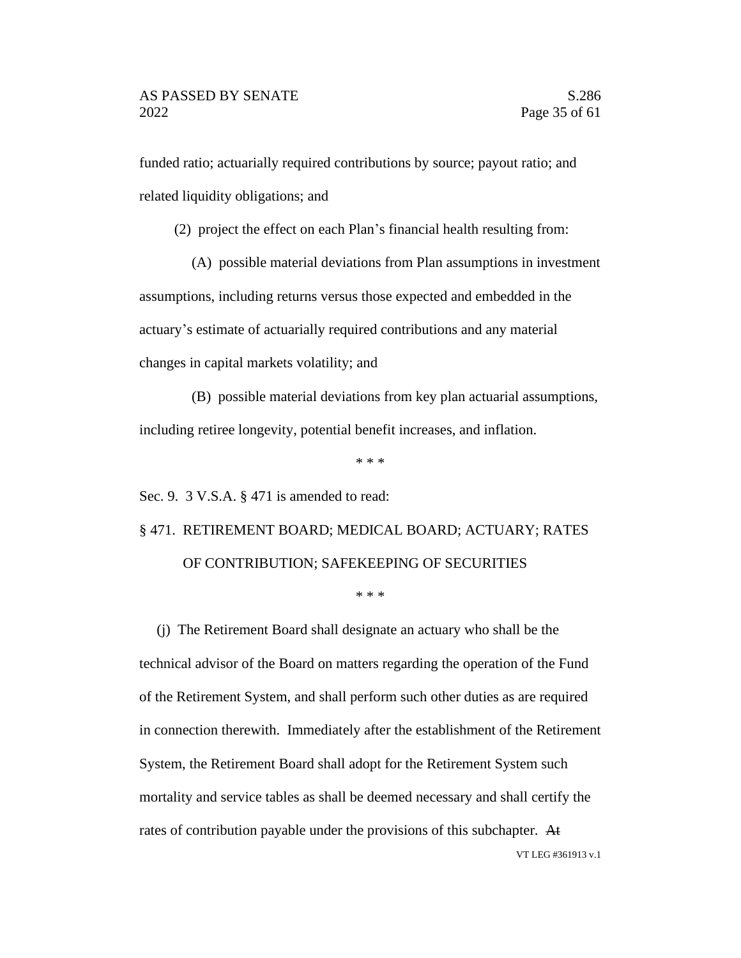funded ratio; actuarially required contributions by source; payout ratio; and related liquidity obligations; and

(2) project the effect on each Plan's financial health resulting from:

(A) possible material deviations from Plan assumptions in investment

assumptions, including returns versus those expected and embedded in the actuary's estimate of actuarially required contributions and any material changes in capital markets volatility; and

(B) possible material deviations from key plan actuarial assumptions, including retiree longevity, potential benefit increases, and inflation.

\* \* \*

Sec. 9. 3 V.S.A. § 471 is amended to read:

# § 471. RETIREMENT BOARD; MEDICAL BOARD; ACTUARY; RATES OF CONTRIBUTION; SAFEKEEPING OF SECURITIES

\* \* \*

(j) The Retirement Board shall designate an actuary who shall be the technical advisor of the Board on matters regarding the operation of the Fund of the Retirement System, and shall perform such other duties as are required in connection therewith. Immediately after the establishment of the Retirement System, the Retirement Board shall adopt for the Retirement System such mortality and service tables as shall be deemed necessary and shall certify the rates of contribution payable under the provisions of this subchapter. At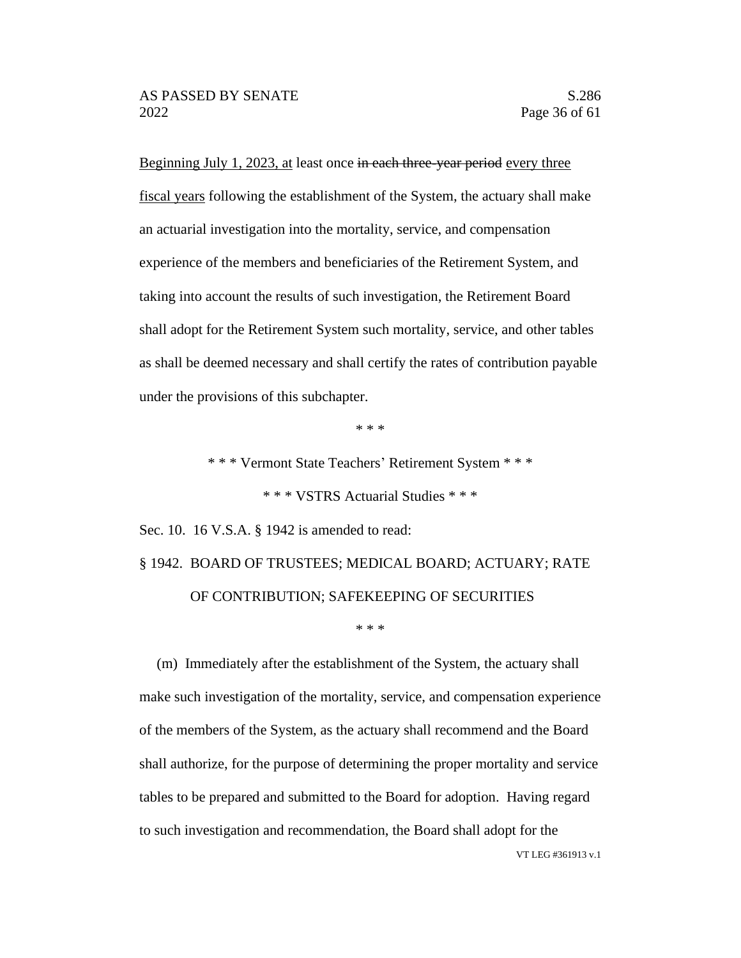Beginning July 1, 2023, at least once in each three-year period every three fiscal years following the establishment of the System, the actuary shall make an actuarial investigation into the mortality, service, and compensation experience of the members and beneficiaries of the Retirement System, and taking into account the results of such investigation, the Retirement Board shall adopt for the Retirement System such mortality, service, and other tables as shall be deemed necessary and shall certify the rates of contribution payable under the provisions of this subchapter.

\* \* \*

\* \* \* Vermont State Teachers' Retirement System \* \* \*

\* \* \* VSTRS Actuarial Studies \* \* \*

Sec. 10. 16 V.S.A. § 1942 is amended to read:

# § 1942. BOARD OF TRUSTEES; MEDICAL BOARD; ACTUARY; RATE OF CONTRIBUTION; SAFEKEEPING OF SECURITIES

#### \* \* \*

(m) Immediately after the establishment of the System, the actuary shall make such investigation of the mortality, service, and compensation experience of the members of the System, as the actuary shall recommend and the Board shall authorize, for the purpose of determining the proper mortality and service tables to be prepared and submitted to the Board for adoption. Having regard to such investigation and recommendation, the Board shall adopt for the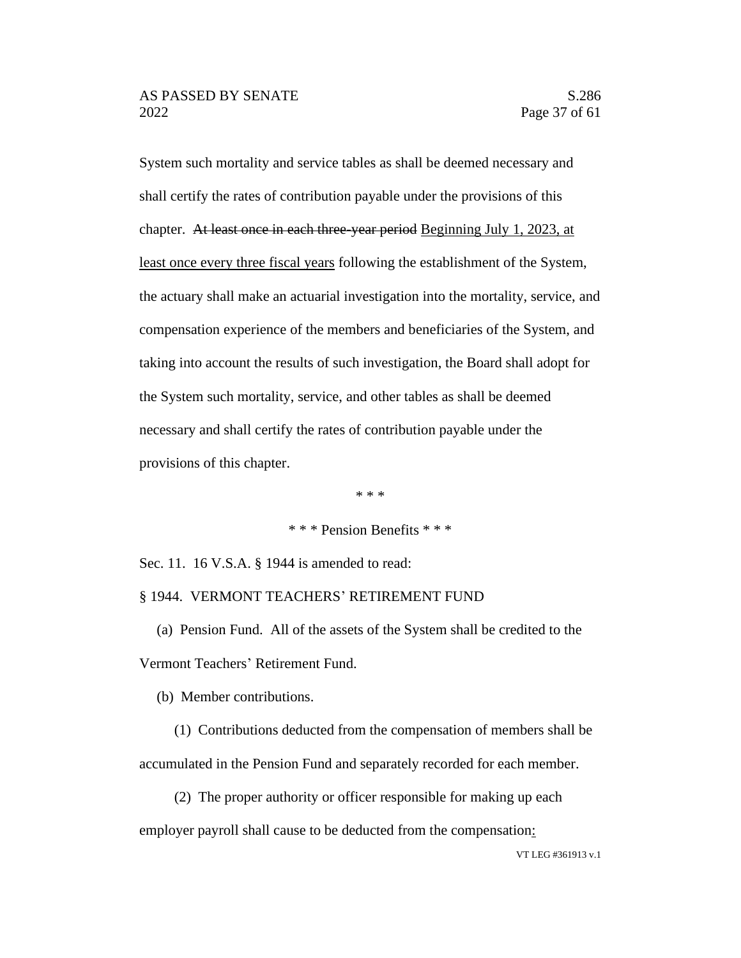System such mortality and service tables as shall be deemed necessary and shall certify the rates of contribution payable under the provisions of this chapter. At least once in each three-year period Beginning July 1, 2023, at least once every three fiscal years following the establishment of the System, the actuary shall make an actuarial investigation into the mortality, service, and compensation experience of the members and beneficiaries of the System, and taking into account the results of such investigation, the Board shall adopt for the System such mortality, service, and other tables as shall be deemed necessary and shall certify the rates of contribution payable under the provisions of this chapter.

\* \* \*

\* \* \* Pension Benefits \* \* \*

Sec. 11. 16 V.S.A. § 1944 is amended to read:

#### § 1944. VERMONT TEACHERS' RETIREMENT FUND

(a) Pension Fund. All of the assets of the System shall be credited to the Vermont Teachers' Retirement Fund.

(b) Member contributions.

(1) Contributions deducted from the compensation of members shall be accumulated in the Pension Fund and separately recorded for each member.

(2) The proper authority or officer responsible for making up each employer payroll shall cause to be deducted from the compensation: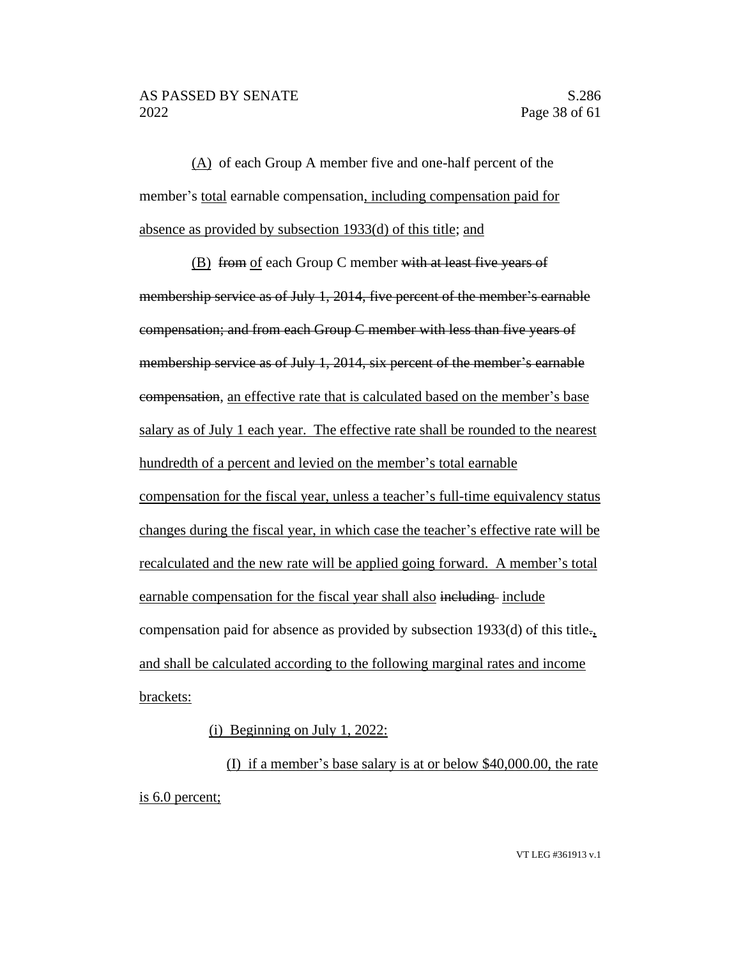(A) of each Group A member five and one-half percent of the member's total earnable compensation, including compensation paid for absence as provided by subsection 1933(d) of this title; and

(B) from of each Group C member with at least five years of membership service as of July 1, 2014, five percent of the member's earnable compensation; and from each Group C member with less than five years of membership service as of July 1, 2014, six percent of the member's earnable compensation, an effective rate that is calculated based on the member's base salary as of July 1 each year. The effective rate shall be rounded to the nearest hundredth of a percent and levied on the member's total earnable compensation for the fiscal year, unless a teacher's full-time equivalency status changes during the fiscal year, in which case the teacher's effective rate will be recalculated and the new rate will be applied going forward. A member's total earnable compensation for the fiscal year shall also including include compensation paid for absence as provided by subsection 1933(d) of this title., and shall be calculated according to the following marginal rates and income brackets:

(i) Beginning on July 1, 2022:

(I) if a member's base salary is at or below \$40,000.00, the rate is 6.0 percent;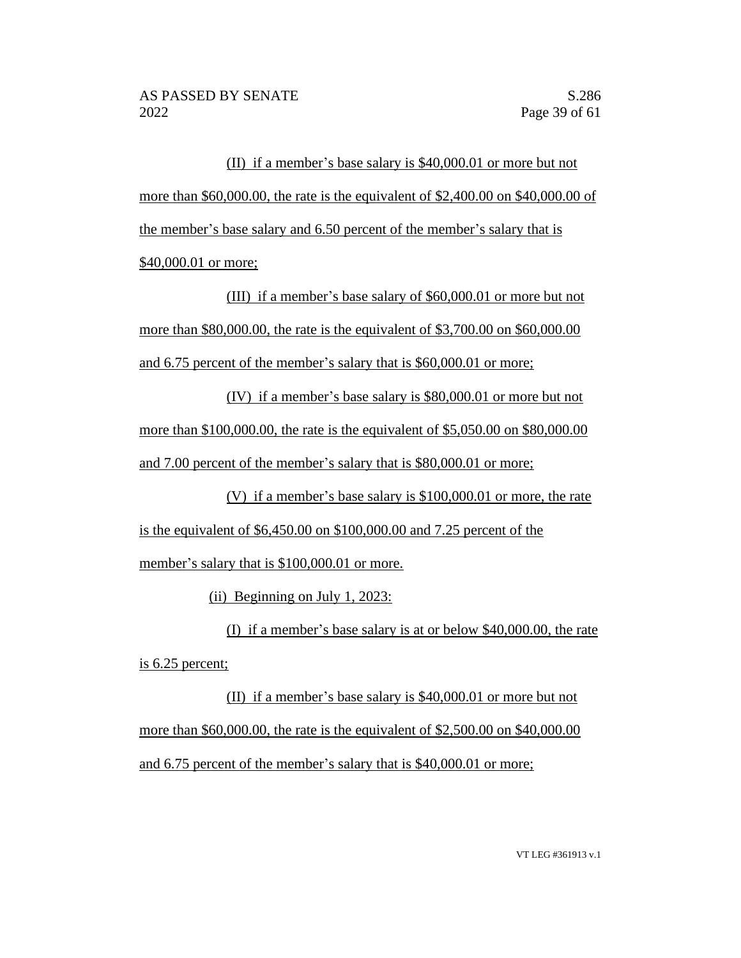(II) if a member's base salary is \$40,000.01 or more but not more than \$60,000.00, the rate is the equivalent of \$2,400.00 on \$40,000.00 of the member's base salary and 6.50 percent of the member's salary that is \$40,000.01 or more;

(III) if a member's base salary of \$60,000.01 or more but not more than \$80,000.00, the rate is the equivalent of \$3,700.00 on \$60,000.00 and 6.75 percent of the member's salary that is \$60,000.01 or more;

(IV) if a member's base salary is \$80,000.01 or more but not more than \$100,000.00, the rate is the equivalent of \$5,050.00 on \$80,000.00 and 7.00 percent of the member's salary that is \$80,000.01 or more;

(V) if a member's base salary is \$100,000.01 or more, the rate is the equivalent of \$6,450.00 on \$100,000.00 and 7.25 percent of the

member's salary that is \$100,000.01 or more.

(ii) Beginning on July 1, 2023:

(I) if a member's base salary is at or below \$40,000.00, the rate is 6.25 percent;

(II) if a member's base salary is \$40,000.01 or more but not more than \$60,000.00, the rate is the equivalent of \$2,500.00 on \$40,000.00 and 6.75 percent of the member's salary that is \$40,000.01 or more;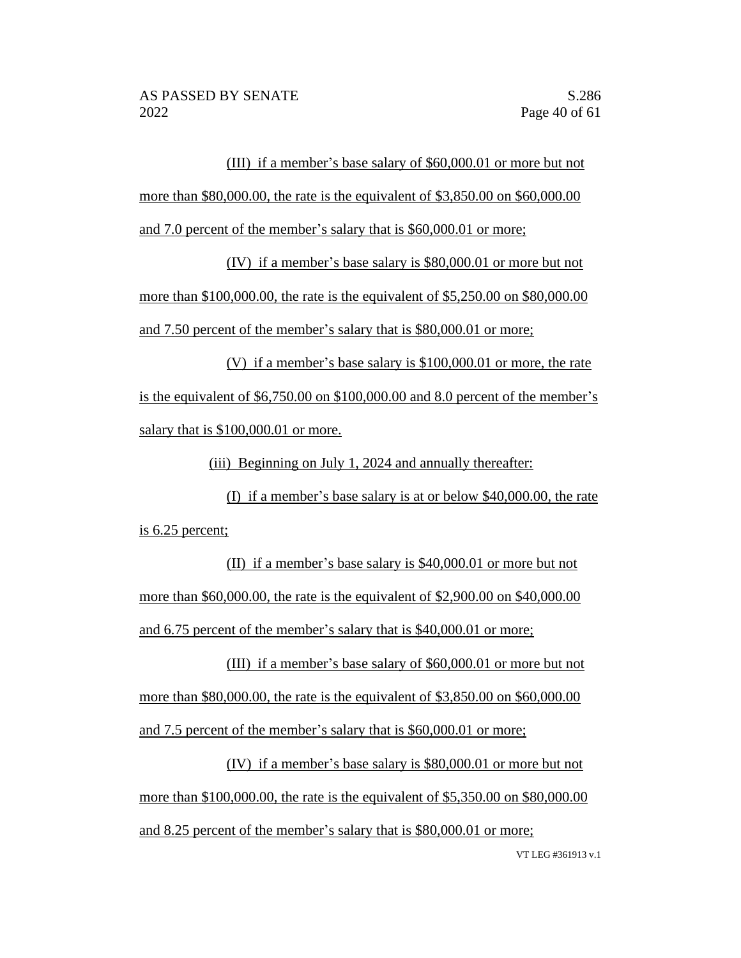### (III) if a member's base salary of \$60,000.01 or more but not

more than \$80,000.00, the rate is the equivalent of \$3,850.00 on \$60,000.00

and 7.0 percent of the member's salary that is \$60,000.01 or more;

(IV) if a member's base salary is \$80,000.01 or more but not

more than \$100,000.00, the rate is the equivalent of \$5,250.00 on \$80,000.00 and 7.50 percent of the member's salary that is \$80,000.01 or more;

(V) if a member's base salary is \$100,000.01 or more, the rate is the equivalent of \$6,750.00 on \$100,000.00 and 8.0 percent of the member's salary that is \$100,000.01 or more.

(iii) Beginning on July 1, 2024 and annually thereafter:

(I) if a member's base salary is at or below \$40,000.00, the rate is 6.25 percent;

(II) if a member's base salary is \$40,000.01 or more but not more than \$60,000.00, the rate is the equivalent of \$2,900.00 on \$40,000.00 and 6.75 percent of the member's salary that is \$40,000.01 or more;

(III) if a member's base salary of \$60,000.01 or more but not more than \$80,000.00, the rate is the equivalent of \$3,850.00 on \$60,000.00 and 7.5 percent of the member's salary that is \$60,000.01 or more;

(IV) if a member's base salary is \$80,000.01 or more but not more than \$100,000.00, the rate is the equivalent of \$5,350.00 on \$80,000.00 and 8.25 percent of the member's salary that is \$80,000.01 or more;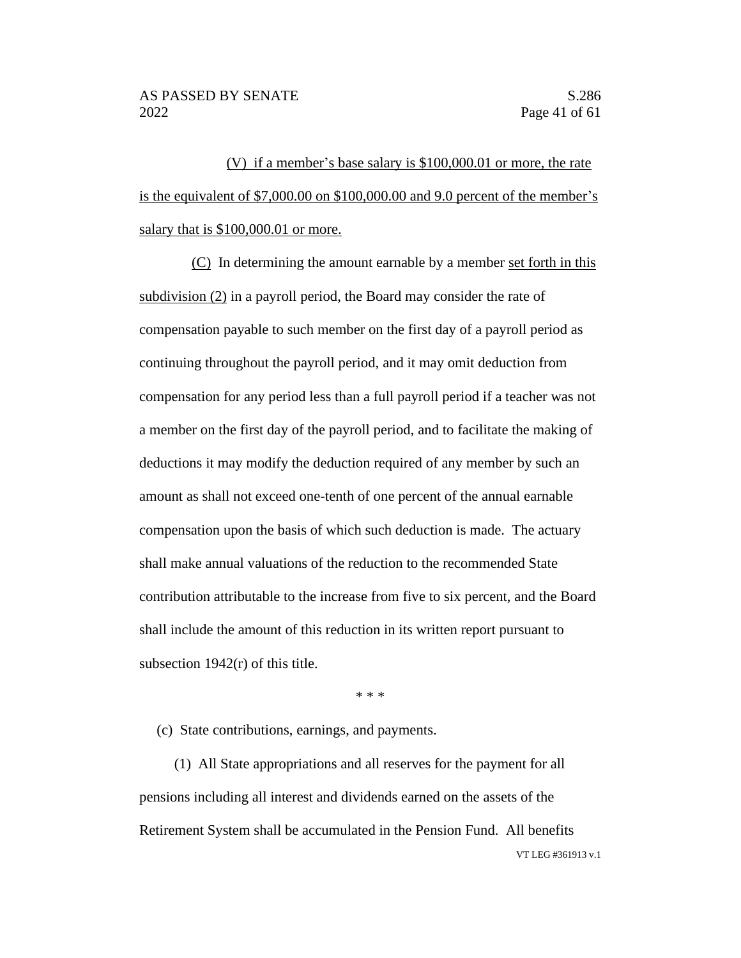(V) if a member's base salary is \$100,000.01 or more, the rate is the equivalent of \$7,000.00 on \$100,000.00 and 9.0 percent of the member's salary that is \$100,000.01 or more.

(C) In determining the amount earnable by a member set forth in this subdivision (2) in a payroll period, the Board may consider the rate of compensation payable to such member on the first day of a payroll period as continuing throughout the payroll period, and it may omit deduction from compensation for any period less than a full payroll period if a teacher was not a member on the first day of the payroll period, and to facilitate the making of deductions it may modify the deduction required of any member by such an amount as shall not exceed one-tenth of one percent of the annual earnable compensation upon the basis of which such deduction is made. The actuary shall make annual valuations of the reduction to the recommended State contribution attributable to the increase from five to six percent, and the Board shall include the amount of this reduction in its written report pursuant to subsection 1942(r) of this title.

\* \* \*

(c) State contributions, earnings, and payments.

VT LEG #361913 v.1 (1) All State appropriations and all reserves for the payment for all pensions including all interest and dividends earned on the assets of the Retirement System shall be accumulated in the Pension Fund. All benefits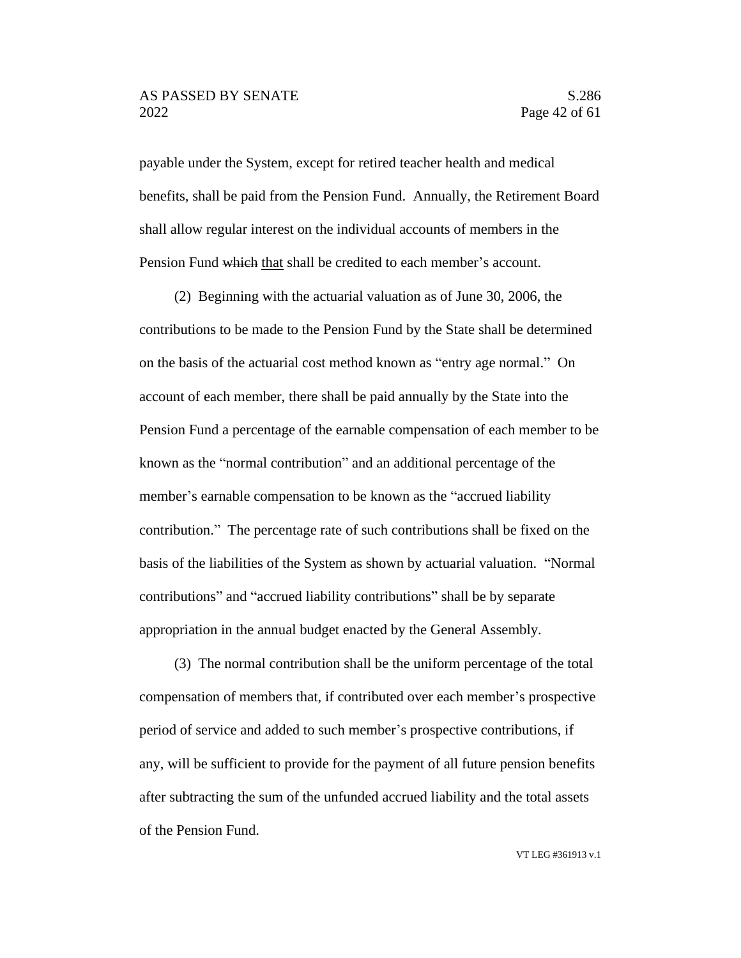payable under the System, except for retired teacher health and medical benefits, shall be paid from the Pension Fund. Annually, the Retirement Board shall allow regular interest on the individual accounts of members in the Pension Fund which that shall be credited to each member's account.

(2) Beginning with the actuarial valuation as of June 30, 2006, the contributions to be made to the Pension Fund by the State shall be determined on the basis of the actuarial cost method known as "entry age normal." On account of each member, there shall be paid annually by the State into the Pension Fund a percentage of the earnable compensation of each member to be known as the "normal contribution" and an additional percentage of the member's earnable compensation to be known as the "accrued liability contribution." The percentage rate of such contributions shall be fixed on the basis of the liabilities of the System as shown by actuarial valuation. "Normal contributions" and "accrued liability contributions" shall be by separate appropriation in the annual budget enacted by the General Assembly.

(3) The normal contribution shall be the uniform percentage of the total compensation of members that, if contributed over each member's prospective period of service and added to such member's prospective contributions, if any, will be sufficient to provide for the payment of all future pension benefits after subtracting the sum of the unfunded accrued liability and the total assets of the Pension Fund.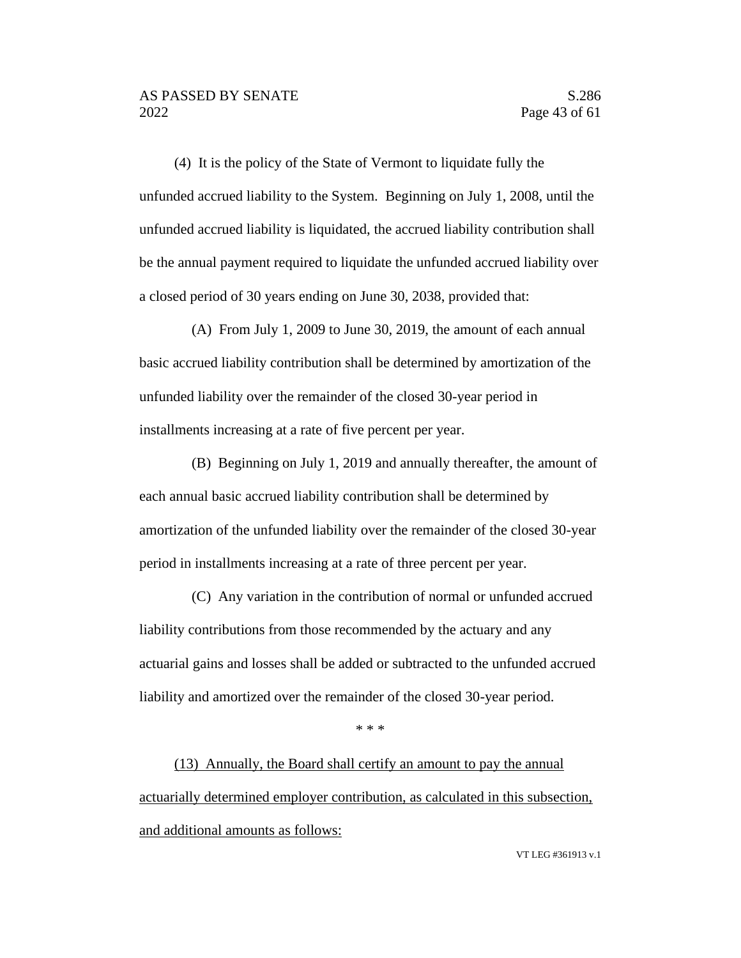(4) It is the policy of the State of Vermont to liquidate fully the unfunded accrued liability to the System. Beginning on July 1, 2008, until the unfunded accrued liability is liquidated, the accrued liability contribution shall be the annual payment required to liquidate the unfunded accrued liability over a closed period of 30 years ending on June 30, 2038, provided that:

(A) From July 1, 2009 to June 30, 2019, the amount of each annual basic accrued liability contribution shall be determined by amortization of the unfunded liability over the remainder of the closed 30-year period in installments increasing at a rate of five percent per year.

(B) Beginning on July 1, 2019 and annually thereafter, the amount of each annual basic accrued liability contribution shall be determined by amortization of the unfunded liability over the remainder of the closed 30-year period in installments increasing at a rate of three percent per year.

(C) Any variation in the contribution of normal or unfunded accrued liability contributions from those recommended by the actuary and any actuarial gains and losses shall be added or subtracted to the unfunded accrued liability and amortized over the remainder of the closed 30-year period.

#### \* \* \*

(13) Annually, the Board shall certify an amount to pay the annual actuarially determined employer contribution, as calculated in this subsection, and additional amounts as follows: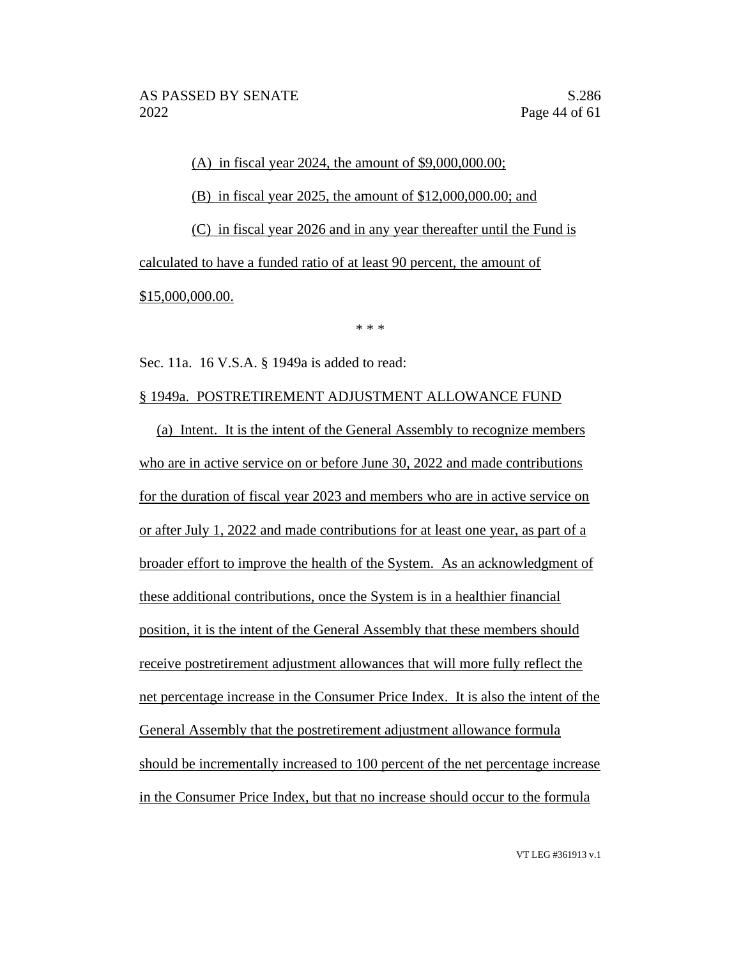(A) in fiscal year 2024, the amount of \$9,000,000.00; (B) in fiscal year 2025, the amount of \$12,000,000.00; and (C) in fiscal year 2026 and in any year thereafter until the Fund is calculated to have a funded ratio of at least 90 percent, the amount of \$15,000,000.00.

\* \* \*

Sec. 11a. 16 V.S.A. § 1949a is added to read:

### § 1949a. POSTRETIREMENT ADJUSTMENT ALLOWANCE FUND

(a) Intent. It is the intent of the General Assembly to recognize members who are in active service on or before June 30, 2022 and made contributions for the duration of fiscal year 2023 and members who are in active service on or after July 1, 2022 and made contributions for at least one year, as part of a broader effort to improve the health of the System. As an acknowledgment of these additional contributions, once the System is in a healthier financial position, it is the intent of the General Assembly that these members should receive postretirement adjustment allowances that will more fully reflect the net percentage increase in the Consumer Price Index. It is also the intent of the General Assembly that the postretirement adjustment allowance formula should be incrementally increased to 100 percent of the net percentage increase in the Consumer Price Index, but that no increase should occur to the formula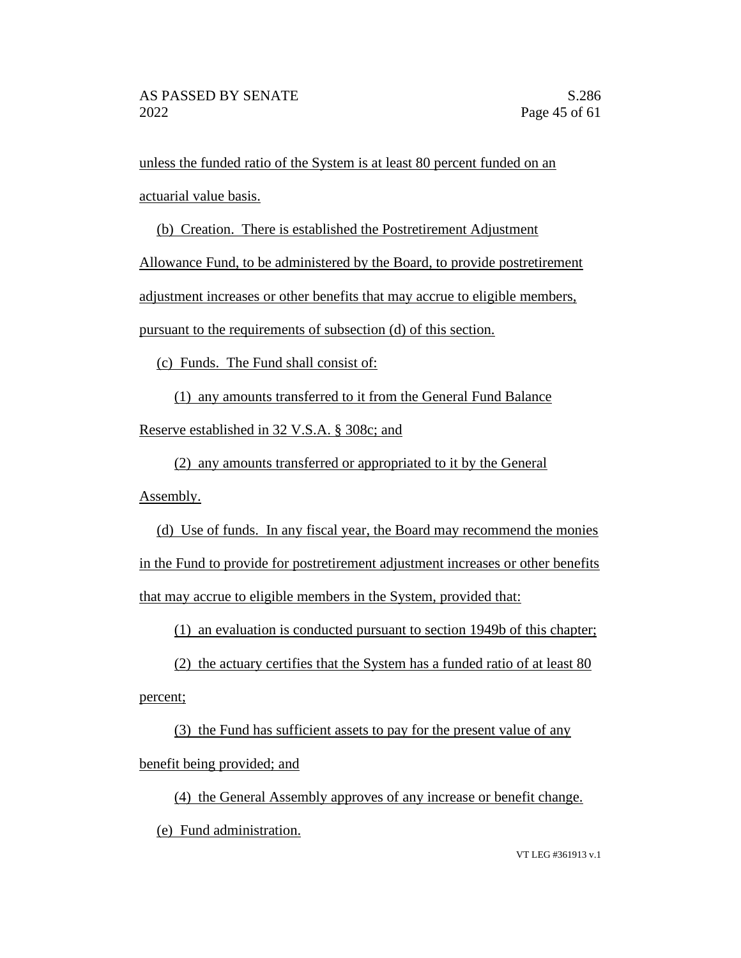unless the funded ratio of the System is at least 80 percent funded on an actuarial value basis.

(b) Creation. There is established the Postretirement Adjustment

Allowance Fund, to be administered by the Board, to provide postretirement

adjustment increases or other benefits that may accrue to eligible members,

pursuant to the requirements of subsection (d) of this section.

(c) Funds. The Fund shall consist of:

(1) any amounts transferred to it from the General Fund Balance Reserve established in 32 V.S.A. § 308c; and

(2) any amounts transferred or appropriated to it by the General

Assembly.

(d) Use of funds. In any fiscal year, the Board may recommend the monies in the Fund to provide for postretirement adjustment increases or other benefits that may accrue to eligible members in the System, provided that:

(1) an evaluation is conducted pursuant to section 1949b of this chapter;

(2) the actuary certifies that the System has a funded ratio of at least 80 percent;

(3) the Fund has sufficient assets to pay for the present value of any benefit being provided; and

(4) the General Assembly approves of any increase or benefit change. (e) Fund administration.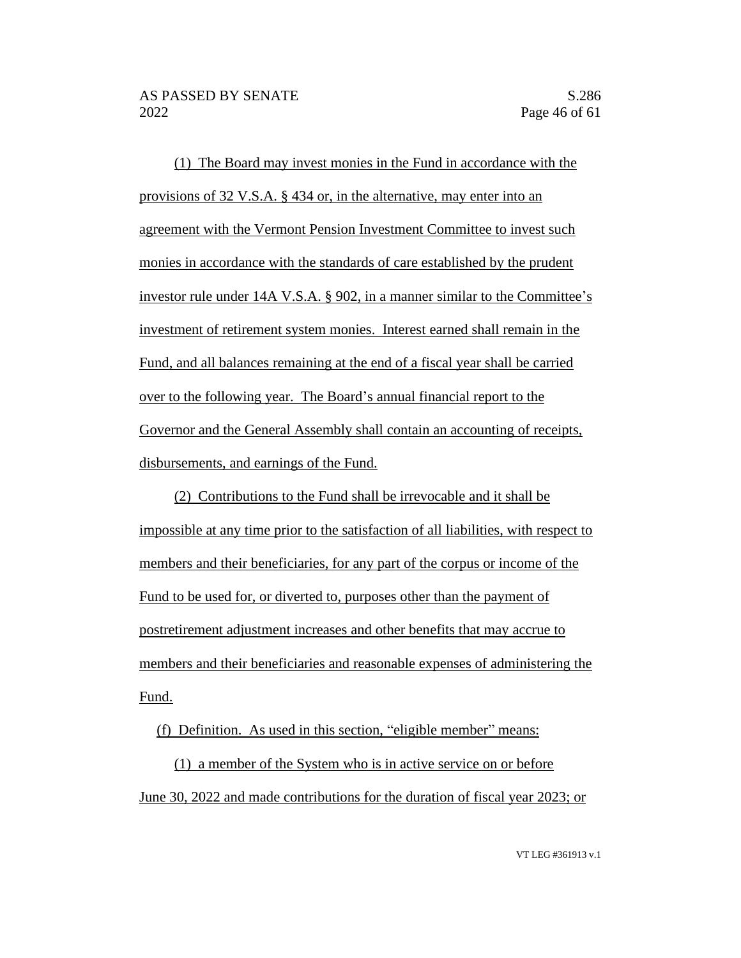(1) The Board may invest monies in the Fund in accordance with the provisions of 32 V.S.A. § 434 or, in the alternative, may enter into an agreement with the Vermont Pension Investment Committee to invest such monies in accordance with the standards of care established by the prudent investor rule under 14A V.S.A. § 902, in a manner similar to the Committee's investment of retirement system monies. Interest earned shall remain in the Fund, and all balances remaining at the end of a fiscal year shall be carried over to the following year. The Board's annual financial report to the Governor and the General Assembly shall contain an accounting of receipts, disbursements, and earnings of the Fund.

(2) Contributions to the Fund shall be irrevocable and it shall be impossible at any time prior to the satisfaction of all liabilities, with respect to members and their beneficiaries, for any part of the corpus or income of the Fund to be used for, or diverted to, purposes other than the payment of postretirement adjustment increases and other benefits that may accrue to members and their beneficiaries and reasonable expenses of administering the Fund.

(f) Definition. As used in this section, "eligible member" means:

(1) a member of the System who is in active service on or before June 30, 2022 and made contributions for the duration of fiscal year 2023; or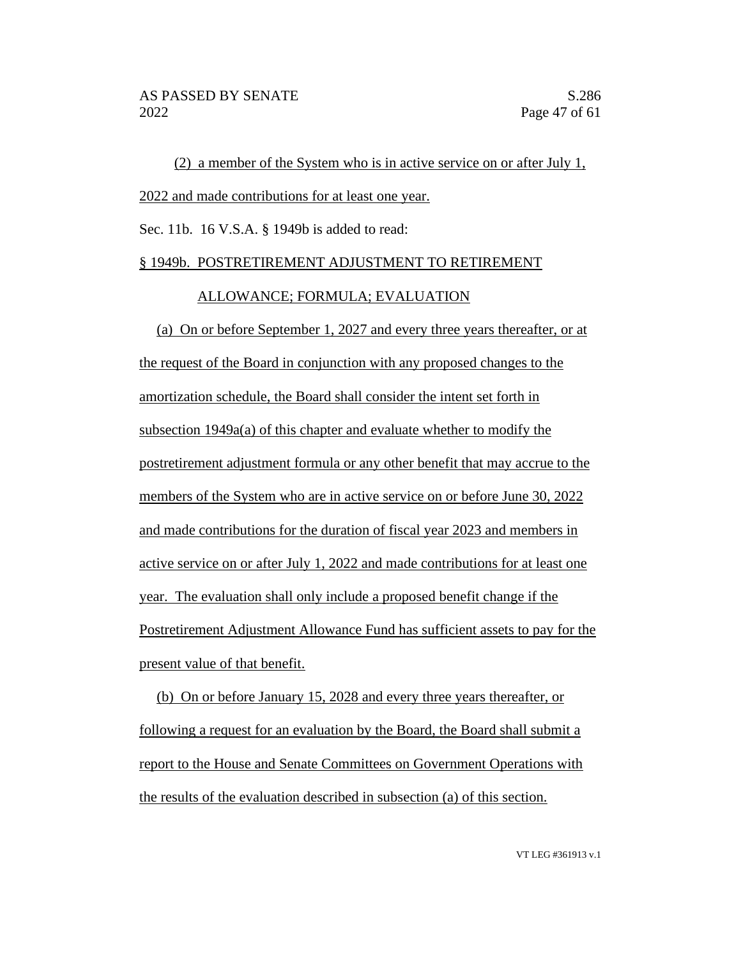(2) a member of the System who is in active service on or after July 1, 2022 and made contributions for at least one year.

Sec. 11b. 16 V.S.A. § 1949b is added to read:

#### § 1949b. POSTRETIREMENT ADJUSTMENT TO RETIREMENT

#### ALLOWANCE; FORMULA; EVALUATION

(a) On or before September 1, 2027 and every three years thereafter, or at the request of the Board in conjunction with any proposed changes to the amortization schedule, the Board shall consider the intent set forth in subsection 1949a(a) of this chapter and evaluate whether to modify the postretirement adjustment formula or any other benefit that may accrue to the members of the System who are in active service on or before June 30, 2022 and made contributions for the duration of fiscal year 2023 and members in active service on or after July 1, 2022 and made contributions for at least one year. The evaluation shall only include a proposed benefit change if the Postretirement Adjustment Allowance Fund has sufficient assets to pay for the present value of that benefit.

(b) On or before January 15, 2028 and every three years thereafter, or following a request for an evaluation by the Board, the Board shall submit a report to the House and Senate Committees on Government Operations with the results of the evaluation described in subsection (a) of this section.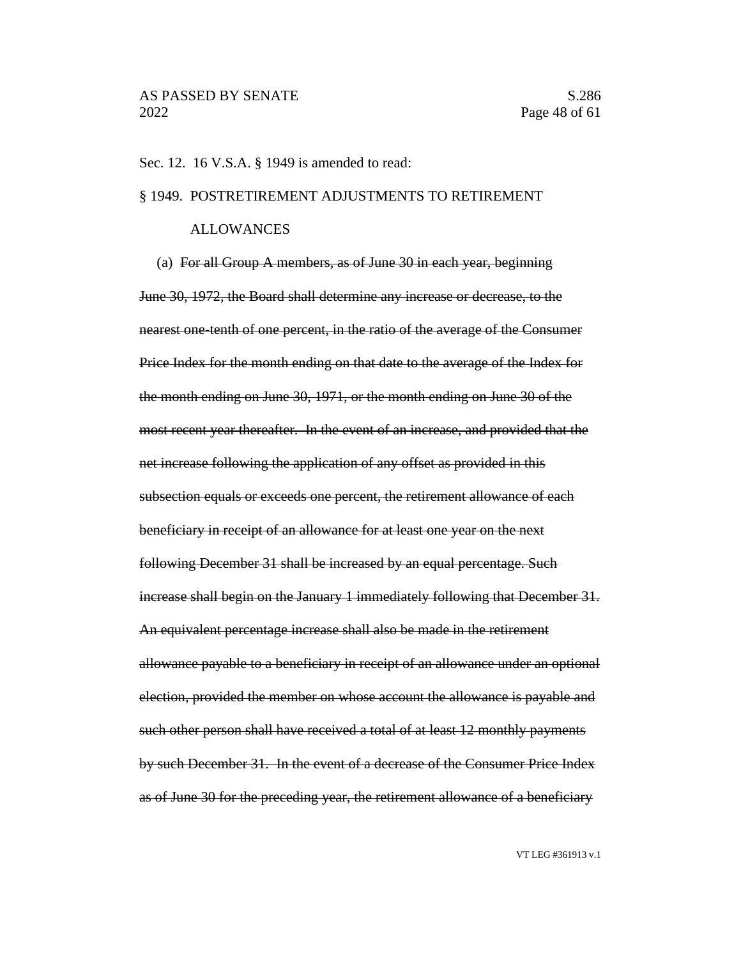#### Sec. 12. 16 V.S.A. § 1949 is amended to read:

#### § 1949. POSTRETIREMENT ADJUSTMENTS TO RETIREMENT

#### ALLOWANCES

(a) For all Group A members, as of June 30 in each year, beginning June 30, 1972, the Board shall determine any increase or decrease, to the nearest one-tenth of one percent, in the ratio of the average of the Consumer Price Index for the month ending on that date to the average of the Index for the month ending on June 30, 1971, or the month ending on June 30 of the most recent year thereafter. In the event of an increase, and provided that the net increase following the application of any offset as provided in this subsection equals or exceeds one percent, the retirement allowance of each beneficiary in receipt of an allowance for at least one year on the next following December 31 shall be increased by an equal percentage. Such increase shall begin on the January 1 immediately following that December 31. An equivalent percentage increase shall also be made in the retirement allowance payable to a beneficiary in receipt of an allowance under an optional election, provided the member on whose account the allowance is payable and such other person shall have received a total of at least 12 monthly payments by such December 31. In the event of a decrease of the Consumer Price Index as of June 30 for the preceding year, the retirement allowance of a beneficiary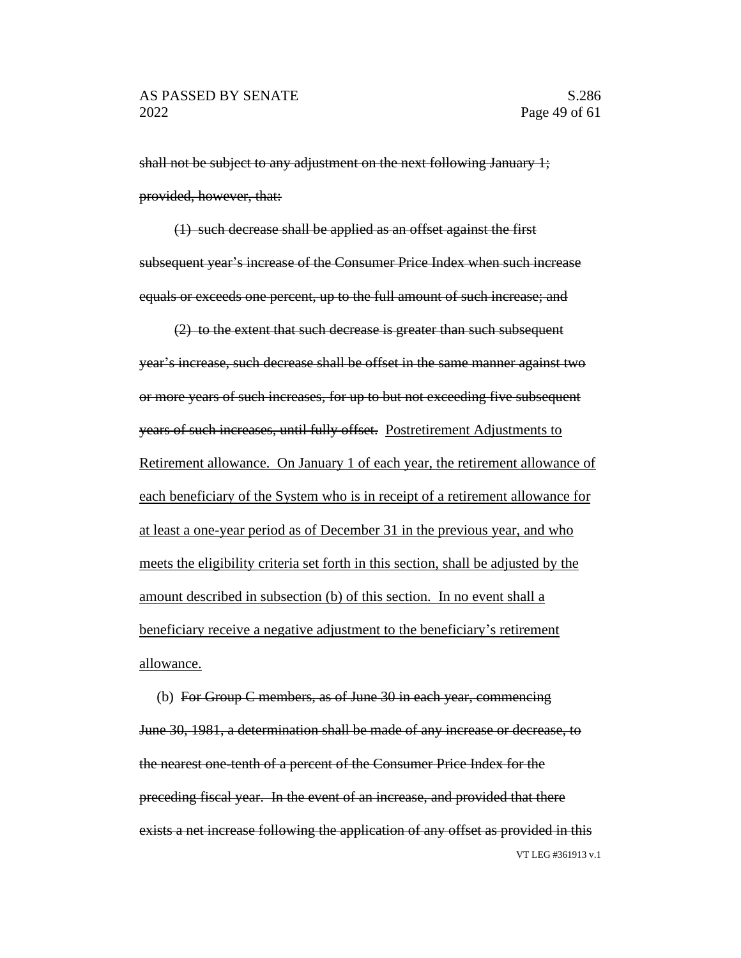shall not be subject to any adjustment on the next following January 1; provided, however, that:

(1) such decrease shall be applied as an offset against the first subsequent year's increase of the Consumer Price Index when such increase equals or exceeds one percent, up to the full amount of such increase; and

(2) to the extent that such decrease is greater than such subsequent year's increase, such decrease shall be offset in the same manner against two or more years of such increases, for up to but not exceeding five subsequent years of such increases, until fully offset. Postretirement Adjustments to Retirement allowance. On January 1 of each year, the retirement allowance of each beneficiary of the System who is in receipt of a retirement allowance for at least a one-year period as of December 31 in the previous year, and who meets the eligibility criteria set forth in this section, shall be adjusted by the amount described in subsection (b) of this section. In no event shall a beneficiary receive a negative adjustment to the beneficiary's retirement allowance.

VT LEG #361913 v.1 (b) For Group C members, as of June 30 in each year, commencing June 30, 1981, a determination shall be made of any increase or decrease, to the nearest one-tenth of a percent of the Consumer Price Index for the preceding fiscal year. In the event of an increase, and provided that there exists a net increase following the application of any offset as provided in this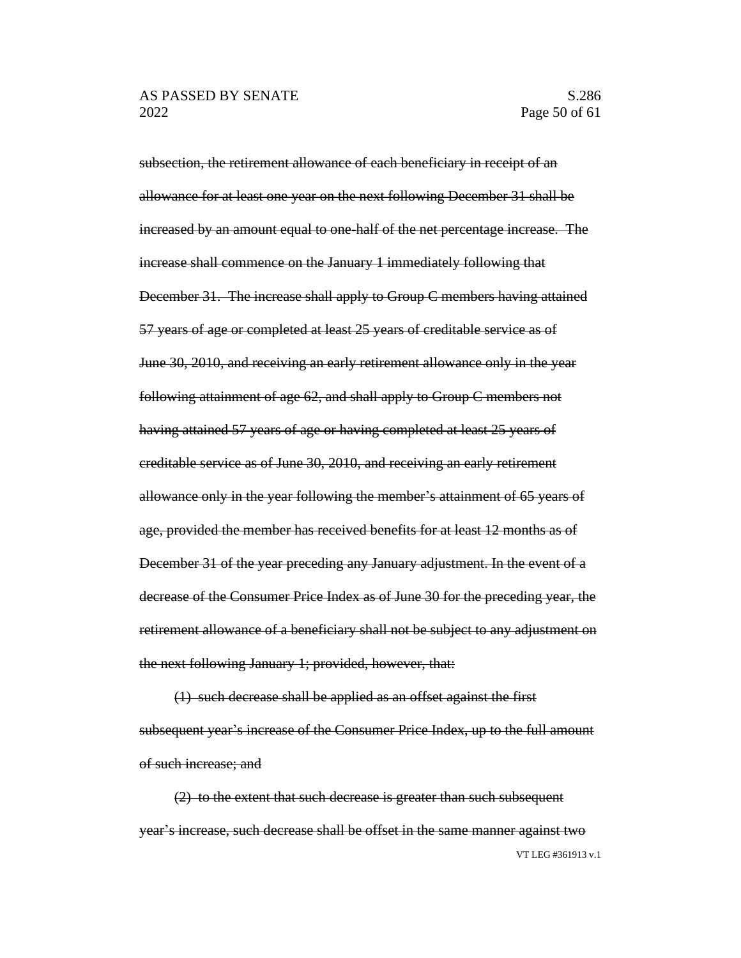subsection, the retirement allowance of each beneficiary in receipt of an allowance for at least one year on the next following December 31 shall be increased by an amount equal to one-half of the net percentage increase. The increase shall commence on the January 1 immediately following that December 31. The increase shall apply to Group C members having attained 57 years of age or completed at least 25 years of creditable service as of June 30, 2010, and receiving an early retirement allowance only in the year following attainment of age 62, and shall apply to Group C members not having attained 57 years of age or having completed at least 25 years of creditable service as of June 30, 2010, and receiving an early retirement allowance only in the year following the member's attainment of 65 years of age, provided the member has received benefits for at least 12 months as of December 31 of the year preceding any January adjustment. In the event of a decrease of the Consumer Price Index as of June 30 for the preceding year, the retirement allowance of a beneficiary shall not be subject to any adjustment on the next following January 1; provided, however, that:

(1) such decrease shall be applied as an offset against the first subsequent year's increase of the Consumer Price Index, up to the full amount of such increase; and

VT LEG #361913 v.1 (2) to the extent that such decrease is greater than such subsequent year's increase, such decrease shall be offset in the same manner against two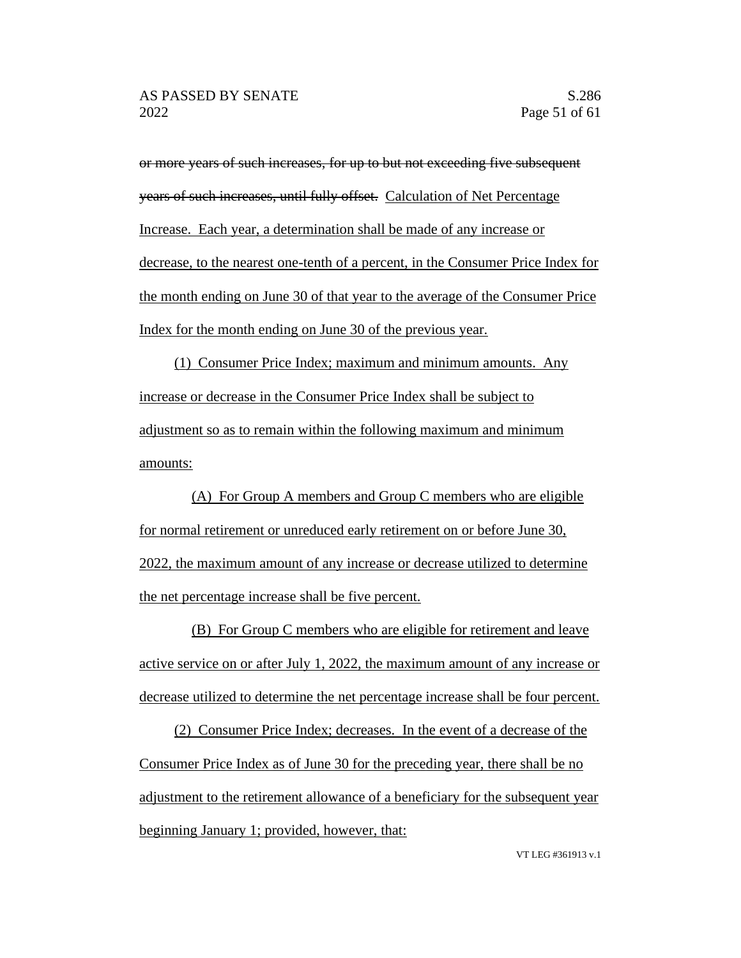or more years of such increases, for up to but not exceeding five subsequent years of such increases, until fully offset. Calculation of Net Percentage Increase. Each year, a determination shall be made of any increase or decrease, to the nearest one-tenth of a percent, in the Consumer Price Index for the month ending on June 30 of that year to the average of the Consumer Price Index for the month ending on June 30 of the previous year.

(1) Consumer Price Index; maximum and minimum amounts. Any increase or decrease in the Consumer Price Index shall be subject to adjustment so as to remain within the following maximum and minimum amounts:

(A) For Group A members and Group C members who are eligible for normal retirement or unreduced early retirement on or before June 30, 2022, the maximum amount of any increase or decrease utilized to determine the net percentage increase shall be five percent.

(B) For Group C members who are eligible for retirement and leave active service on or after July 1, 2022, the maximum amount of any increase or decrease utilized to determine the net percentage increase shall be four percent.

(2) Consumer Price Index; decreases. In the event of a decrease of the Consumer Price Index as of June 30 for the preceding year, there shall be no adjustment to the retirement allowance of a beneficiary for the subsequent year beginning January 1; provided, however, that: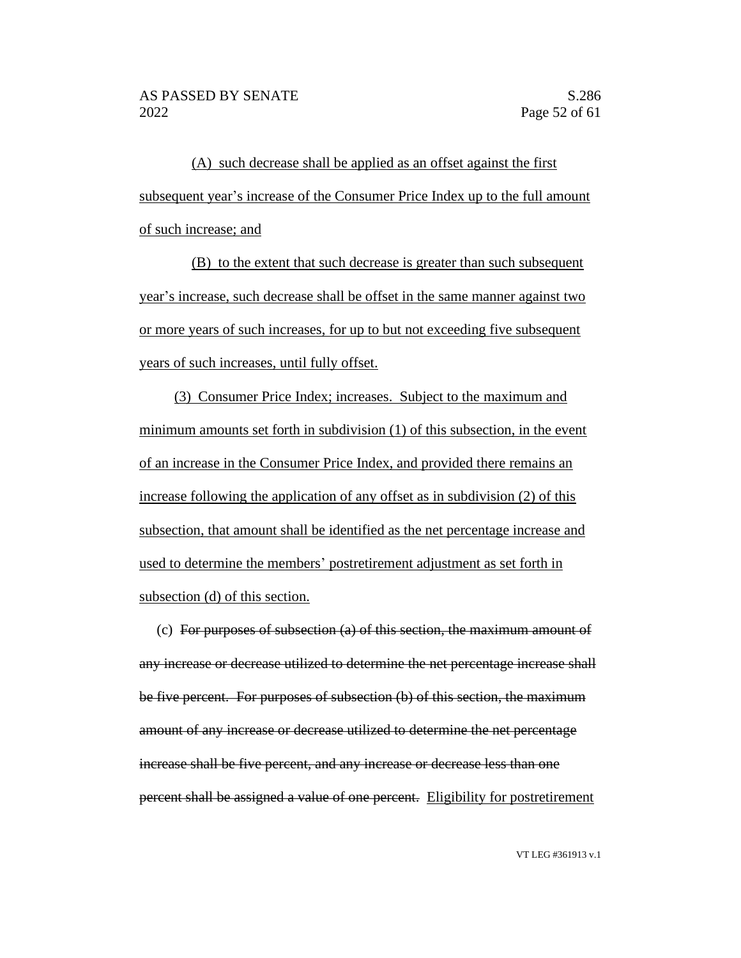(A) such decrease shall be applied as an offset against the first subsequent year's increase of the Consumer Price Index up to the full amount of such increase; and

(B) to the extent that such decrease is greater than such subsequent year's increase, such decrease shall be offset in the same manner against two or more years of such increases, for up to but not exceeding five subsequent years of such increases, until fully offset.

(3) Consumer Price Index; increases. Subject to the maximum and minimum amounts set forth in subdivision (1) of this subsection, in the event of an increase in the Consumer Price Index, and provided there remains an increase following the application of any offset as in subdivision (2) of this subsection, that amount shall be identified as the net percentage increase and used to determine the members' postretirement adjustment as set forth in subsection (d) of this section.

(c) For purposes of subsection (a) of this section, the maximum amount of any increase or decrease utilized to determine the net percentage increase shall be five percent. For purposes of subsection (b) of this section, the maximum amount of any increase or decrease utilized to determine the net percentage increase shall be five percent, and any increase or decrease less than one percent shall be assigned a value of one percent. Eligibility for postretirement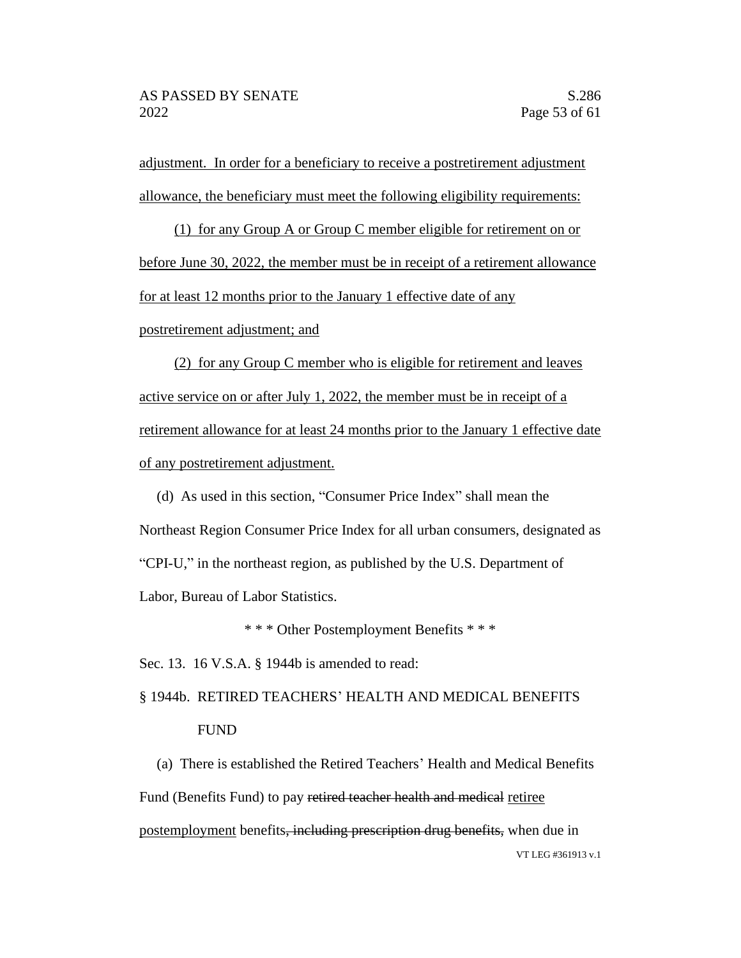adjustment. In order for a beneficiary to receive a postretirement adjustment allowance, the beneficiary must meet the following eligibility requirements:

(1) for any Group A or Group C member eligible for retirement on or before June 30, 2022, the member must be in receipt of a retirement allowance for at least 12 months prior to the January 1 effective date of any

postretirement adjustment; and

(2) for any Group C member who is eligible for retirement and leaves active service on or after July 1, 2022, the member must be in receipt of a retirement allowance for at least 24 months prior to the January 1 effective date of any postretirement adjustment.

(d) As used in this section, "Consumer Price Index" shall mean the Northeast Region Consumer Price Index for all urban consumers, designated as "CPI-U," in the northeast region, as published by the U.S. Department of Labor, Bureau of Labor Statistics.

\* \* \* Other Postemployment Benefits \* \* \*

Sec. 13. 16 V.S.A. § 1944b is amended to read:

# § 1944b. RETIRED TEACHERS' HEALTH AND MEDICAL BENEFITS FUND

VT LEG #361913 v.1 (a) There is established the Retired Teachers' Health and Medical Benefits Fund (Benefits Fund) to pay retired teacher health and medical retiree postemployment benefits, including prescription drug benefits, when due in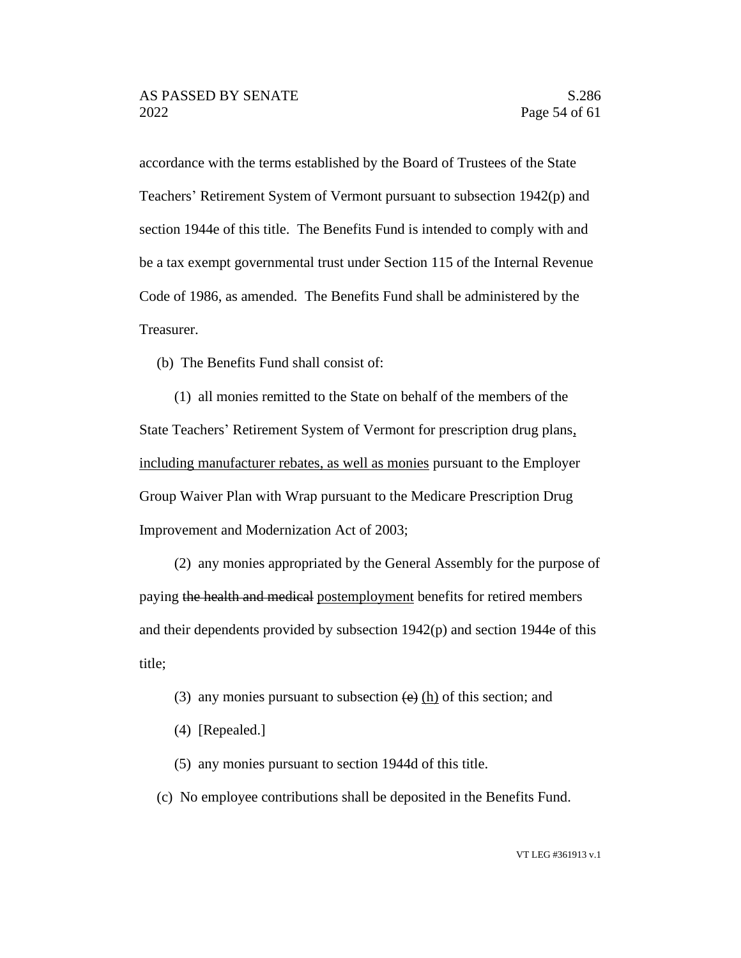accordance with the terms established by the Board of Trustees of the State Teachers' Retirement System of Vermont pursuant to subsection 1942(p) and section 1944e of this title. The Benefits Fund is intended to comply with and be a tax exempt governmental trust under Section 115 of the Internal Revenue Code of 1986, as amended. The Benefits Fund shall be administered by the Treasurer.

(b) The Benefits Fund shall consist of:

(1) all monies remitted to the State on behalf of the members of the State Teachers' Retirement System of Vermont for prescription drug plans, including manufacturer rebates, as well as monies pursuant to the Employer Group Waiver Plan with Wrap pursuant to the Medicare Prescription Drug Improvement and Modernization Act of 2003;

(2) any monies appropriated by the General Assembly for the purpose of paying the health and medical postemployment benefits for retired members and their dependents provided by subsection 1942(p) and section 1944e of this title;

- (3) any monies pursuant to subsection  $\left(\frac{e}{e}\right)$  (h) of this section; and
- (4) [Repealed.]
- (5) any monies pursuant to section 1944d of this title.
- (c) No employee contributions shall be deposited in the Benefits Fund.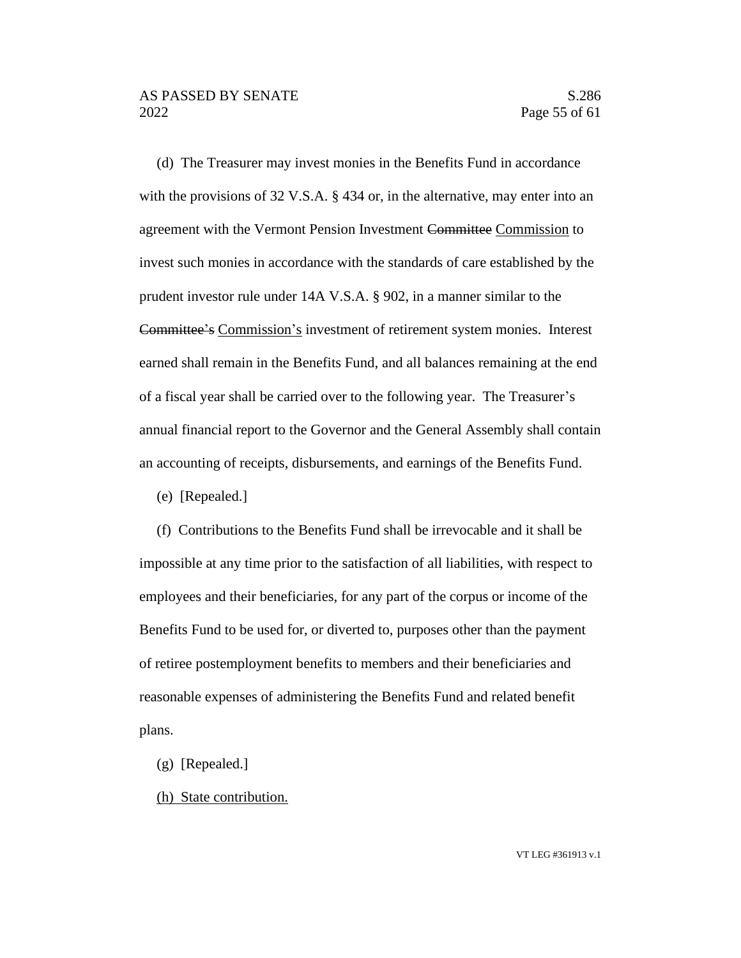(d) The Treasurer may invest monies in the Benefits Fund in accordance with the provisions of 32 V.S.A. § 434 or, in the alternative, may enter into an agreement with the Vermont Pension Investment Committee Commission to invest such monies in accordance with the standards of care established by the prudent investor rule under 14A V.S.A. § 902, in a manner similar to the Committee's Commission's investment of retirement system monies. Interest earned shall remain in the Benefits Fund, and all balances remaining at the end of a fiscal year shall be carried over to the following year. The Treasurer's annual financial report to the Governor and the General Assembly shall contain an accounting of receipts, disbursements, and earnings of the Benefits Fund.

(e) [Repealed.]

(f) Contributions to the Benefits Fund shall be irrevocable and it shall be impossible at any time prior to the satisfaction of all liabilities, with respect to employees and their beneficiaries, for any part of the corpus or income of the Benefits Fund to be used for, or diverted to, purposes other than the payment of retiree postemployment benefits to members and their beneficiaries and reasonable expenses of administering the Benefits Fund and related benefit plans.

- (g) [Repealed.]
- (h) State contribution.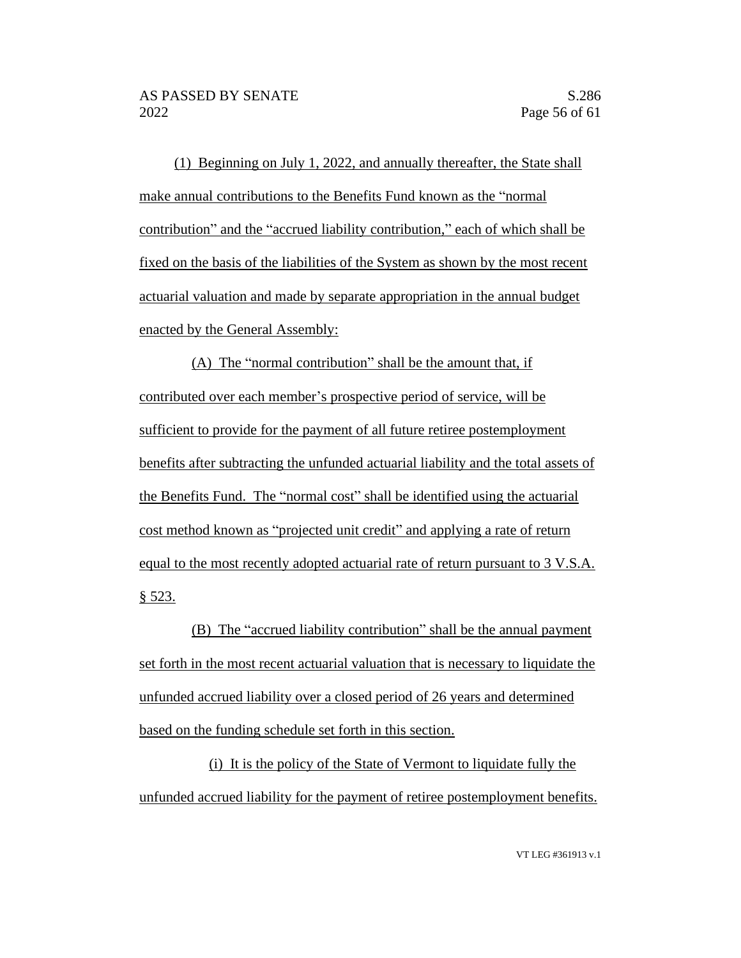(1) Beginning on July 1, 2022, and annually thereafter, the State shall make annual contributions to the Benefits Fund known as the "normal contribution" and the "accrued liability contribution," each of which shall be fixed on the basis of the liabilities of the System as shown by the most recent actuarial valuation and made by separate appropriation in the annual budget enacted by the General Assembly:

(A) The "normal contribution" shall be the amount that, if contributed over each member's prospective period of service, will be sufficient to provide for the payment of all future retiree postemployment benefits after subtracting the unfunded actuarial liability and the total assets of the Benefits Fund. The "normal cost" shall be identified using the actuarial cost method known as "projected unit credit" and applying a rate of return equal to the most recently adopted actuarial rate of return pursuant to 3 V.S.A. § 523.

(B) The "accrued liability contribution" shall be the annual payment set forth in the most recent actuarial valuation that is necessary to liquidate the unfunded accrued liability over a closed period of 26 years and determined based on the funding schedule set forth in this section.

(i) It is the policy of the State of Vermont to liquidate fully the unfunded accrued liability for the payment of retiree postemployment benefits.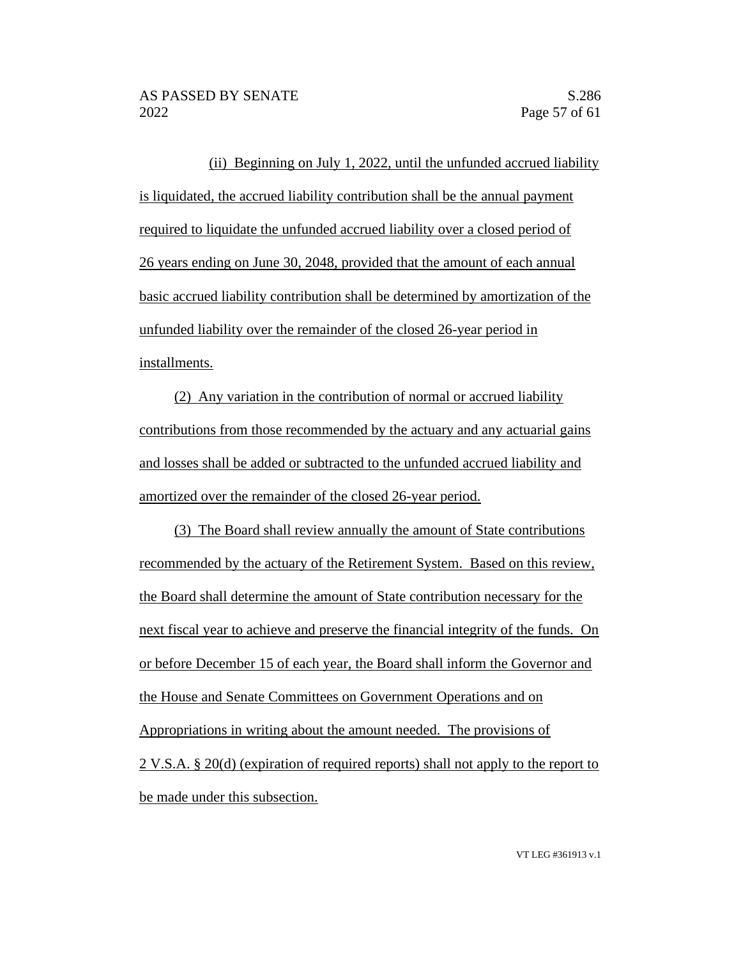(ii) Beginning on July 1, 2022, until the unfunded accrued liability is liquidated, the accrued liability contribution shall be the annual payment required to liquidate the unfunded accrued liability over a closed period of 26 years ending on June 30, 2048, provided that the amount of each annual basic accrued liability contribution shall be determined by amortization of the unfunded liability over the remainder of the closed 26-year period in installments.

(2) Any variation in the contribution of normal or accrued liability contributions from those recommended by the actuary and any actuarial gains and losses shall be added or subtracted to the unfunded accrued liability and amortized over the remainder of the closed 26-year period.

(3) The Board shall review annually the amount of State contributions recommended by the actuary of the Retirement System. Based on this review, the Board shall determine the amount of State contribution necessary for the next fiscal year to achieve and preserve the financial integrity of the funds. On or before December 15 of each year, the Board shall inform the Governor and the House and Senate Committees on Government Operations and on Appropriations in writing about the amount needed. The provisions of 2 V.S.A. § 20(d) (expiration of required reports) shall not apply to the report to be made under this subsection.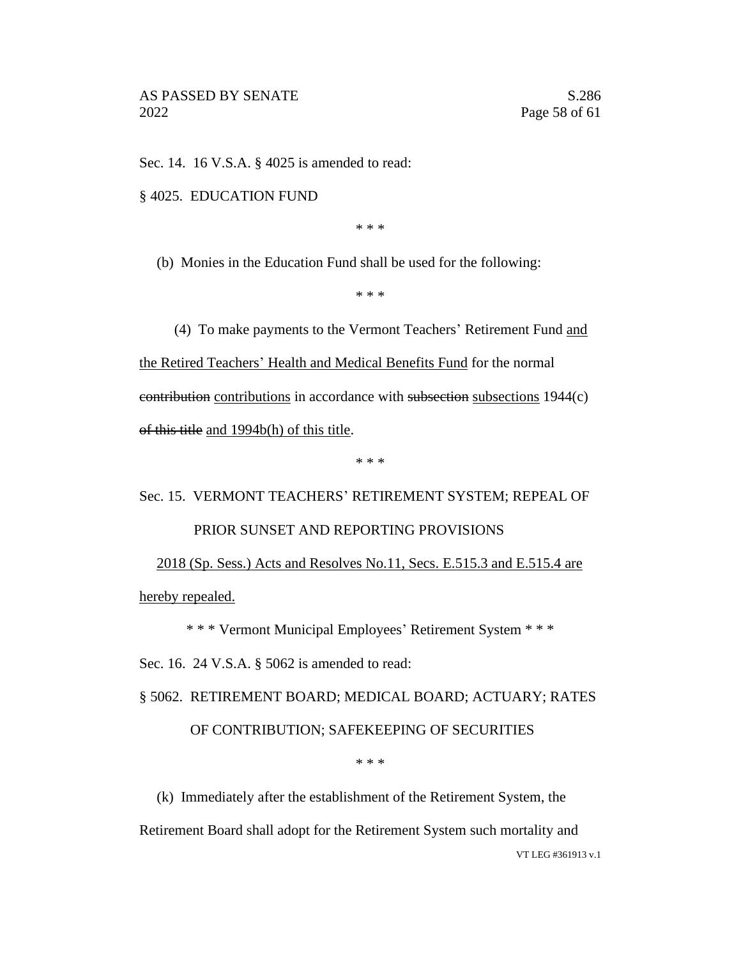Sec. 14. 16 V.S.A. § 4025 is amended to read:

§ 4025. EDUCATION FUND

\* \* \*

(b) Monies in the Education Fund shall be used for the following:

\* \* \*

(4) To make payments to the Vermont Teachers' Retirement Fund and the Retired Teachers' Health and Medical Benefits Fund for the normal contribution contributions in accordance with subsection subsections 1944(c) of this title and 1994b(h) of this title.

\* \* \*

### Sec. 15. VERMONT TEACHERS' RETIREMENT SYSTEM; REPEAL OF PRIOR SUNSET AND REPORTING PROVISIONS

2018 (Sp. Sess.) Acts and Resolves No.11, Secs. E.515.3 and E.515.4 are hereby repealed.

\* \* \* Vermont Municipal Employees' Retirement System \* \* \*

Sec. 16. 24 V.S.A. § 5062 is amended to read:

§ 5062. RETIREMENT BOARD; MEDICAL BOARD; ACTUARY; RATES OF CONTRIBUTION; SAFEKEEPING OF SECURITIES

\* \* \*

(k) Immediately after the establishment of the Retirement System, the

Retirement Board shall adopt for the Retirement System such mortality and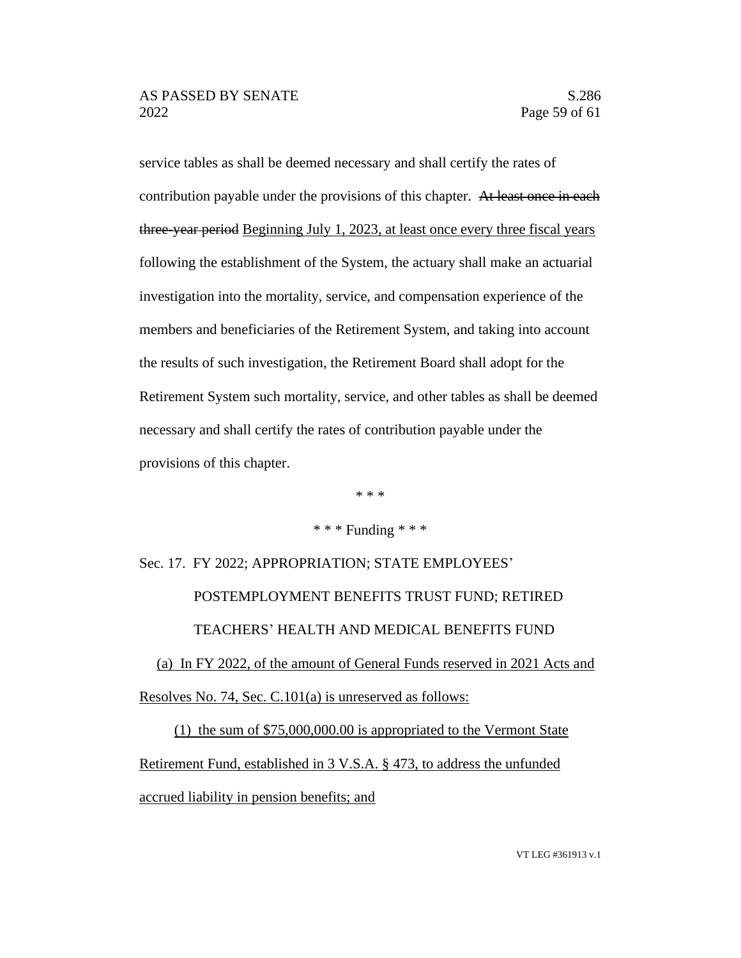service tables as shall be deemed necessary and shall certify the rates of contribution payable under the provisions of this chapter. At least once in each three-year period Beginning July 1, 2023, at least once every three fiscal years following the establishment of the System, the actuary shall make an actuarial investigation into the mortality, service, and compensation experience of the members and beneficiaries of the Retirement System, and taking into account the results of such investigation, the Retirement Board shall adopt for the Retirement System such mortality, service, and other tables as shall be deemed necessary and shall certify the rates of contribution payable under the provisions of this chapter.

\* \* \*

### \* \* \* Funding \* \* \*

Sec. 17. FY 2022; APPROPRIATION; STATE EMPLOYEES' POSTEMPLOYMENT BENEFITS TRUST FUND; RETIRED TEACHERS' HEALTH AND MEDICAL BENEFITS FUND

(a) In FY 2022, of the amount of General Funds reserved in 2021 Acts and Resolves No. 74, Sec. C.101(a) is unreserved as follows:

(1) the sum of \$75,000,000.00 is appropriated to the Vermont State Retirement Fund, established in 3 V.S.A. § 473, to address the unfunded accrued liability in pension benefits; and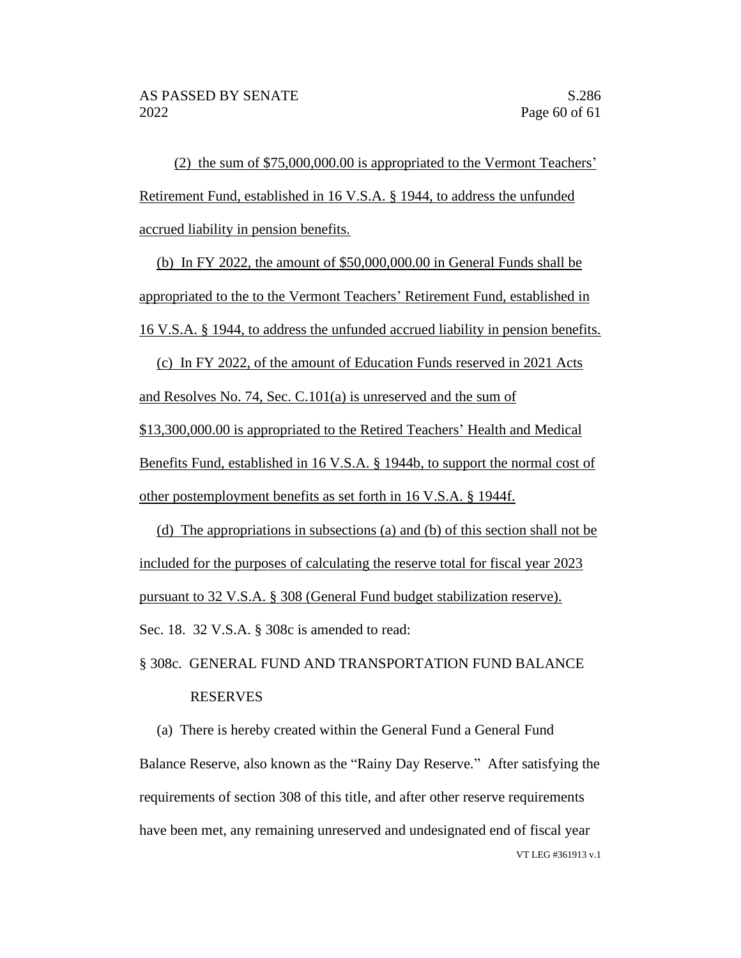(2) the sum of \$75,000,000.00 is appropriated to the Vermont Teachers' Retirement Fund, established in 16 V.S.A. § 1944, to address the unfunded accrued liability in pension benefits.

(b) In FY 2022, the amount of \$50,000,000.00 in General Funds shall be appropriated to the to the Vermont Teachers' Retirement Fund, established in 16 V.S.A. § 1944, to address the unfunded accrued liability in pension benefits.

(c) In FY 2022, of the amount of Education Funds reserved in 2021 Acts and Resolves No. 74, Sec. C.101(a) is unreserved and the sum of \$13,300,000.00 is appropriated to the Retired Teachers' Health and Medical Benefits Fund, established in 16 V.S.A. § 1944b, to support the normal cost of other postemployment benefits as set forth in 16 V.S.A. § 1944f.

(d) The appropriations in subsections (a) and (b) of this section shall not be included for the purposes of calculating the reserve total for fiscal year 2023 pursuant to 32 V.S.A. § 308 (General Fund budget stabilization reserve). Sec. 18. 32 V.S.A. § 308c is amended to read:

### § 308c. GENERAL FUND AND TRANSPORTATION FUND BALANCE RESERVES

VT LEG #361913 v.1 (a) There is hereby created within the General Fund a General Fund Balance Reserve, also known as the "Rainy Day Reserve." After satisfying the requirements of section 308 of this title, and after other reserve requirements have been met, any remaining unreserved and undesignated end of fiscal year